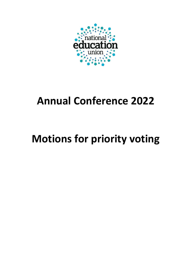

# **Annual Conference 2022**

# **Motions for priority voting**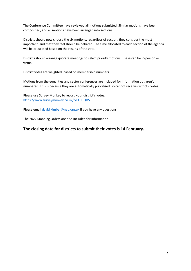The Conference Committee have reviewed all motions submitted. Similar motions have been composited, and all motions have been arranged into sections.

Districts should now choose the six motions, regardless of section, they consider the most important, and that they feel should be debated. The time allocated to each section of the agenda will be calculated based on the results of the vote.

Districts should arrange quorate meetings to select priority motions. These can be in-person or virtual.

District votes are weighted, based on membership numbers.

Motions from the equalities and sector conferences are included for information but aren't numbered. This is because they are automatically prioritised, so cannot receive districts' votes.

Please use Survey Monkey to record your district's votes: https://www.surveymonkey.co.uk/r/PFSHQD5

Please email *david.kimber@neu.org.uk* if you have any questions

The 2022 Standing Orders are also included for information.

### **The closing date for districts to submit their votes is 14 February.**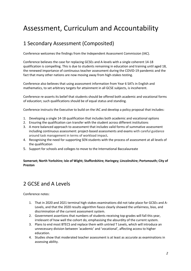## Assessment, Curriculum and Accountability

## 1 Secondary Assessment (Composited)

Conference welcomes the findings from the Independent Assessment Commission (IAC).

Conference believes the case for replacing GCSEs and A-levels with a single coherent 14-18 qualification is compelling. This is due to students remaining in education and training until aged 18, the renewed importance of continuous teacher assessment during the COVID-19 pandemic and the fact that many other nations are now moving away from high-stakes testing.

Conference also believes that using assessment information from Year 6 SATs in English and mathematics, to set arbitrary targets for attainment in all GCSE subjects, is incoherent.

Conference re-asserts its belief that students should be offered both academic and vocational forms of education; such qualifications should be of equal status and standing.

Conference instructs the Executive to build on the IAC and develop a policy proposal that includes:

- 1. Developing a single 14-18 qualification that includes both academic and vocational options
- 2. Ensuring the qualification can transfer with the student across different institutions
- 3. A more balanced approach to assessment that includes valid forms of summative assessment including continuous assessment: project-based assessments and exams with careful guidance around task management in terms of workload impact**.**
- 4. Recognising the need for supporting SEN students with the process of assessment at all levels of the qualification
- 5. Support for schools and colleges to move to the International Baccalaureate

### **Somerset; North Yorkshire; Isle of Wight; Staffordshire; Haringey; Lincolnshire; Portsmouth; City of Preston**

## 2 GCSE and A Levels

Conference notes:

- 1. That in 2020 and 2021 terminal high stakes examinations did not take place for GCSEs and A-Levels, and that the 2020 results algorithm fiasco clearly showed the unfairness, bias, and discrimination of the current assessment system.
- 2. Government assertions that numbers of students receiving top-grades will fall this year, irrelevant of how well the cohort do, emphasising the absurdity of the current system.
- 3. Plans to end most BTECS and replace them with untried T Levels, which will introduce an unnecessary division between 'academic' and 'vocational', affecting access to higher education.
- 4. Studies show that moderated teacher assessment is at least as accurate as examinations in assessing ability.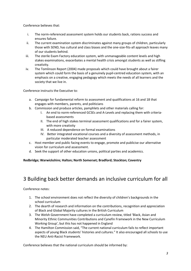Conference believes that:

- i. The norm-referenced assessment system holds our students back, rations success and ensures failure.
- ii. The current examination system discriminates against many groups of children, particularly those with SEND, has cultural and class biases and the one-size-fits-all approach leaves many of our students behind.
- iii. The sterile Exam Factory education system, with unmanageable content levels and high stakes examinations, exacerbates a mental health crisis amongst students as well as stifling creativity.
- iv. The Tomlinson Report (2004) made proposals which could have brought about a fairer system which could form the basis of a genuinely pupil-centred education system, with an emphasis on a creative, engaging pedagogy which meets the needs of all learners and the society that we live in.

Conference instructs the Executive to:

- a. Campaign for fundamental reform to assessment and qualifications at 16 and 18 that engages with members, parents, and politicians
- b. Commission and produce articles, pamphlets and other materials calling for:
	- I. An end to norm-referenced GCSEs and A-Levels and replacing them with criteriabased assessments
	- II. The end of high stakes terminal assessment qualifications and for a fairer system, with more creativity
	- III. A reduced dependence on formal examinations
	- IV. Better integrated vocational courses and a diversity of assessment methods, in particular moderated teacher assessment
- c. Host member and public facing events to engage, promote and publicise our alternative vision for curriculum and assessment.
- d. Seek the support of other education unions, political parties and academics.

**Redbridge; Warwickshire; Halton; North Somerset; Bradford; Stockton; Coventry**

## 3 Building back better demands an inclusive curriculum for all

Conference notes:

- 1. The school environment does not reflect the diversity of children's backgrounds in the school curriculum
- 2. The dearth of research and information on the contributions, recognition and appreciation of Black and Global Majority cultures in the British Curriculum
- 3. The Welsh Government have completed a curriculum review, titled 'Black, Asian and Minority Ethnic Communities Contributions and Cynefin Framework in the New Curriculum Working Group', but this has not happened in England
- 4. The Hamilton Commission said, "The current national curriculum fails to reflect important aspects of young Black students' histories and cultures." It also encouraged all schools to use the NEU Anti-Racist Framework.

Conference believes that the national curriculum should be informed by: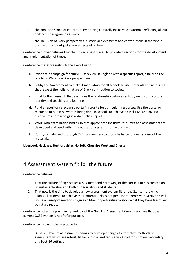- i. the aims and scope of education, embracing culturally inclusive classrooms, reflecting all our children's backgrounds equally.
- ii. the inclusion of Black perspectives, history, achievements and contributions in the whole curriculum and not just some aspects of history

Conference further believes that the Union is best placed to provide directions for the development and implementation of these.

Conference therefore instructs the Executive to:

- a. Prioritise a campaign for curriculum review in England with a specific report, similar to the one from Wales, on Black perspectives.
- b. Lobby the Government to make it mandatory for all schools to use materials and resources that respect the holistic nature of Black contribution to society.
- c. Fund further research that examines the relationship between school, exclusions, cultural identity and teaching and learning.
- d. Fund a repository electronic portal/microsite for curriculum resources. Use the portal or microsite to publicise what is being done in schools to achieve an inclusive and diverse curriculum in order to gain wide public support.
- e. Work with examination bodies so that appropriate inclusive resources and assessments are developed and used within the education system and the curriculum.
- f. Run systematic and thorough CPD for members to promote better understanding of the materials.

**Liverpool; Hackney; Hertfordshire; Norfolk; Cheshire West and Chester**

### 4 Assessment system fit for the future

Conference believes:

- 1. That the culture of high stakes assessment and narrowing of the curriculum has created an unsustainable stress on both our educators and students
- 2. That now is the time to develop a new assessment system fit for the  $21^{st}$  century which allows all students to achieve their potential, does not penalise students with SEND and will utilise a variety of methods to give children opportunities to show what they have learnt and be future ready.

Conference notes the preliminary findings of the New Era Assessment Commission are that the current GCSE system is not fit for purpose.

Conference instructs the Executive to:

i. Build on New Era assessment findings to develop a range of alternative methods of assessment which are robust, fit for purpose and reduce workload for Primary, Secondary and Post-16 settings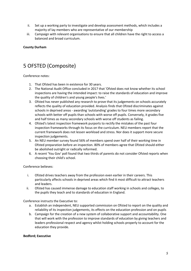- ii. Set up a working party to investigate and develop assessment methods, which includes a majority of lay members who are representative of our membership
- iii. Campaign with relevant organisations to ensure that all children have the right to access a balanced and broad curriculum.

### **County Durham**

## 5 OFSTED (Composite)

Conference notes:

- 1. That Ofsted has been in existence for 30 years.
- 2. The National Audit Office concluded in 2017 that 'Ofsted does not know whether its school inspections are having the intended impact: to raise the standards of education and improve the quality of children's and young people's lives.'
- 3. Ofsted has never published any research to prove that its judgements on schools accurately reflects the quality of education provided. Analysis finds that Ofsted discriminates against schools in deprived areas - awarding 'outstanding' grades to four times more secondary schools with better off pupils than schools with worse off pupils. Conversely, it grades five and half times as many secondary schools with worse off students as failing.
- 4. Ofsted's latest inspection framework purports to rectify the mistakes of the past four inspection frameworks through its focus on the curriculum. NEU members report that the current framework does not lessen workload and stress. Nor does it support more secure inspection judgements.
- 5. An NEU member survey found 56% of members spend over half of their working time in Ofsted preparation before an inspection. 80% of members agree that Ofsted should either be abolished outright or radically reformed.
- 6. A recent 'You Gov' poll found that two thirds of parents do not consider Ofsted reports when choosing their child's school.

Conference believes:

- i. Ofsted drives teachers away from the profession even earlier in their careers. This particularly affects schools in deprived areas which find it most difficult to attract teachers and leaders.
- ii. Ofsted has caused immense damage to education staff working in schools and colleges, to the pupils they teach and to standards of education in England.

Conference instructs the Executive to:

- a. Establish an independent, NEU supported commission on Ofsted to report on the quality and reliability of its inspection judgements, its effects on the education profession and on pupils
- b. Campaign for the creation of a new system of collaborative support and accountability. One that will work with the profession to improve standards of education by giving teachers and leaders professional respect and agency whilst holding schools properly to account for the education they provide.

### **Bedford; Executive**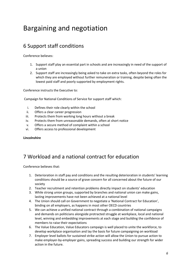## Bargaining and negotiation

## 6 Support staff conditions

Conference believes:

- 1. Support staff play an essential part in schools and are increasingly in need of the support of a union
- 2. Support staff are increasingly being asked to take on extra tasks, often beyond the roles for which they are employed without further remuneration or training, despite being often the lowest paid staff and poorly supported by employment rights.

Conference instructs the Executive to:

Campaign for National Conditions of Service for support staff which:

- i. Defines their role clearly within the school
- ii. Offers a clear career progression
- iii. Protects them from working long hours without a break
- iv. Protects them from unreasonable demands, often at short notice
- v. Offers a secure method of complaint within a school
- vi. Offers access to professional development

### **Lincolnshire**

## 7 Workload and a national contract for education

Conference believes that:

- 1. Deterioration in staff pay and conditions and the resulting deterioration in students' learning conditions should be a source of grave concern for all concerned about the future of our society
- 2. Teacher recruitment and retention problems directly impact on students' education
- 3. While strong union groups, supported by branches and national union can make gains, lasting improvements have not been achieved at a national level
- 4. The Union should call on Government to negotiate a 'National Contract for Education', binding on all employers, as happens in most other OECD countries
- 5. We can achieve a unified national contract through a combination of national campaigns and demands on politicians alongside protracted struggle at workplace, local and national level, winning and embedding improvements at each stage and building the confidence of members to raise their expectations
- 6. The Value Education, Value Educators campaign is well placed to unite the workforce, to develop workplace organisation and lay the basis for future campaigning on workload
- 7. Employer level ballots for sustained strike action will allow the Union to pursue action to make employer-by-employer gains, spreading success and building our strength for wider action in the future.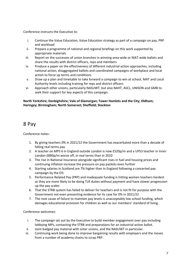Conference instructs the Executive to:

- i. Continue the Value Education, Value Education strategy as part of a campaign on pay, PRP and workload
- ii. Prepare a programme of national and regional briefings on this work supported by appropriate materials
- iii. Report on the successes of union branches in winning area-wide or MAT-wide ballots and share the results with district officers, reps and members
- iv. Produce a paper on the effectiveness of different industrial action approaches, including national action, disaggregated ballots and coordinated campaigns of workplace and local action to force up terms and conditions
- v. Draw up a plan and timetable to take forward a campaign to win at school, MAT and Local Authority levels including training for reps and district officers
- vi. Approach other unions, particularly NASUWT, but also NAHT, ASCL, UNISON and GMB to seek their support for key aspects of this campaign.

### **North Yorkshire; Denbighshire; Vale of Glamorgan; Tower Hamlets and the City; Oldham; Haringey; Birmingham; North Somerset; Sheffield; Stockton**

## 8 Pay

Conference notes:

- 1. By giving teachers 0% in 2021/22 the Government has exacerbated more than a decade of falling real terms pay
- 2. A teacher on MPS 6 in England outside London is now £520p/m and a UPS3 teacher in Inner London £889p/m worse off, in real terms than in 2010
- 3. The rise in National Insurance alongside significant rises in fuel and housing prices and continuing inflation increase the pressure on pay packets even further
- 4. Starting salaries in Scotland are 7% higher than in England following a concerted pay campaign by the EIS
- 5. Performance Related Pay (PRP) and inadequate funding is hitting women teachers hardest as they are more likely to be doing TLR duties without payment and have slower progression up the pay scales
- 6. That the STRB system has failed to deliver for teachers and is not fit for purpose with the Government not even presenting evidence for its case for 0% in 2021/22
- 7. The root cause of failure to maintain pay levels is unacceptably low school funding, which damages educational provision for children as well as our members' standard of living.

Conference welcomes:

- i. The campaign set out by the Executive to build member engagement over pay including lobbying MPs, contacting the STRB and preparations for an industrial action ballot.
- ii. Joint badged pay material with sister unions, and the NASUWT in particular.
- iii. Continuing work being done to improve bargaining results with employers and the moves from a number of academy chains to scrap PRP.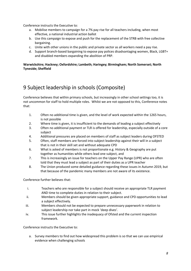Conference instructs the Executive to:

- a. Mobilise members to campaign for a 7% pay rise for all teachers including, when most effective, a national industrial action ballot
- b. Use this campaign to expose and push for the replacement of the STRB with free collective bargaining.
- c. Unite with other unions in the public and private sector as all workers need a pay rise.
- d. Support branch-based bargaining to expose pay polices disadvantaging women, Black, LGBT+ and disabled members expanding the abolition of PRP.

### **Warwickshire; Hackney; Oxfordshire; Lambeth; Haringey; Birmingham; North Somerset; North Tyneside; Sheffield**

## 9 Subject leadership in schools (Composite)

Conference believes that within primary schools, but increasingly in other school settings too, it is not uncommon for staff to hold multiple roles. Whilst we are not opposed to this, Conference notes that:

- 1. Often no additional time is given, and the level of work expected within the 1265 hours, is not possible
- 2. Where time is given, it is insufficient to the demands of leading a subject effectively
- 3. Often no additional payment or TLR is offered for leadership, especially outside of a core subject
- 4. Additional pressures are placed on members of staff as subject leaders during OFSTED
- 5. Often, staff members are forced into subject leadership against their will in a subject that is not in their skill set and without adequate CPD
- 6. What is asked of members is not proportionate e.g. History & Geography are put together as humanities while others lead one subject, and
- 7. This is increasingly an issue for teachers on the Upper Pay Range (UPR) who are often told that they must lead a subject as part of their duties as a UPR teacher
- 8. The Union produced some detailed guidance regarding these issues in Autumn 2019, but that because of the pandemic many members are not aware of its existence.

Conference further believes that:

- i. Teachers who are responsible for a subject should receive an appropriate TLR payment AND time to complete duties in relation to their subject.
- ii. Members should be given appropriate support, guidance and CPD opportunities to lead a subject effectively.
- iii. Members should not be expected to prepare unnecessary paperwork in relation to subject leadership nor take part in mock 'deep dives'.
- iv. This issue further highlights the inadequacy of Ofsted and the current inspection framework.

Conference instructs the Executive to:

a. Survey members to find out how widespread this problem is so that we can use empirical evidence when challenging schools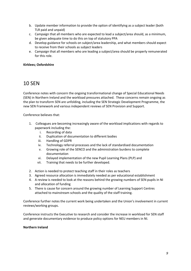- b. Update member information to provide the option of identifying as a subject leader (both TLR paid and unpaid)
- c. Campaign that all members who are expected to lead a subject/area should, as a minimum, be given adequate time to do this on top of statutory PPA
- d. Develop guidance for schools on subject/area leadership, and what members should expect to receive from their schools as subject leaders
- e. Campaign that all members who are leading a subject/area should be properly remunerated for this role.

### **Kirklees; Oxfordshire**

### 10 SEN

Conference notes with concern the ongoing transformational change of Special Educational Needs (SEN) in Northern Ireland and the workload pressures attached. These concerns remain ongoing as the plan to transform SEN are unfolding, including the SEN Strategic Development Programme, the new SEN Framework and various independent reviews of SEN Provision and Support.

Conference believes that:

- 1. Colleagues are becoming increasingly aware of the workload implications with regards to paperwork including the:
	- i. Recording of data
	- ii. Duplication of documentation to different bodies
	- iii. Handling of GDPR
	- iv. Technology referral processes and the lack of standardised documentation
	- v. Growing role of the SENCO and the administration burdens to complete documentation
	- vi. Delayed implementation of the new Pupil Learning Plans (PLP) and
	- vii. Training that needs to be further developed.
- 2. Action is needed to protect teaching staff in their roles as teachers
- 3. Agreed resource allocation is immediately needed as per educational establishment
- 4. A review is needed to look at the reasons behind the growing numbers of SEN pupils in NI and allocation of funding
- 5. There is cause for concern around the growing number of Learning Support Centres attached to mainstream schools and the quality of the staff training.

Conference further notes the current work being undertaken and the Union's involvement in current reviews/working groups.

Conference instructs the Executive to research and consider the increase in workload for SEN staff and generate documentary evidence to produce policy options for NEU members in NI.

### **Northern Ireland**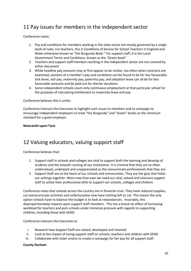## 11 Pay issues for members in the independent sector

Conference notes:

- 1. Pay and conditions for members working in the state sector are mostly governed by a single book of rules. For teachers, this is Conditions of Service for School Teachers in England and Wales otherwise known as "the Burgundy Book." For support staff, it is the Local Government Terms and Conditions, known as the "Green book"
- 2. Teachers and support staff members working in the independent sector are not covered by either document
- 3. While headline pay amounts may at first appear to be similar, too often when contracts are examined, sections of a member's pay and conditions can be found to be far less favourable. Sick leave, sick pay, maternity pay, paternity pay, and adoption leave can all be for less favourable amounts and be paid out for shorter durations
- 4. Some independent schools count only continuous employment at that particular school for the purposes of calculating entitlement to maternity leave and pay.

Conference believes this is unfair.

Conference instructs the Executive to highlight such issues to members and to campaign to encourage independent employers to treat "the Burgundy" and "Green" books as the minimum standard for a good employer.

### **Newcastle-upon-Tyne**

## 12 Valuing educators, valuing support staff

Conference believes that:

- 1. Support staff in schools and colleges are vital to support both the learning and develop of students and the smooth running of our institutions. It is criminal that they are so often undervalued, underpaid and unappreciated as the consummate professionals that they are.
- 2. Support Staff are at the heart of our schools and communities. They are the glue that holds our settings together. More now than ever we need our vital, valued and visionary support staff to utilise their professional skills to support our schools, colleges and children.

Conference notes that schools across the country are in financial crisis. They have reduced supplies, cut extracurricular activities and unfortunately now have nothing left to cut. This means the only option schools have to balance the budget is to look at redundancies. Invariably, this disproportionately impacts upon support staff members. This has a knock-on effect of increasing workload for teachers and puts schools under immense pressure with regards to supporting children, including those with SEND.

Conference instructs the Executive to:

- i. Research how Support Staff are valued, developed and retained
- ii. Look at the impact of losing support staff on schools, teachers and children with SEND
- iii. Collaborate with sister unions to create a campaign for fair pay for all support staff.

### **County Durham**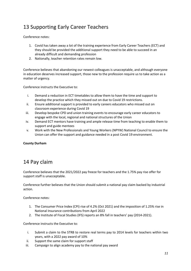## 13 Supporting Early Career Teachers

Conference notes:

- 1. Covid has taken away a lot of the training experience from Early Career Teachers (ECT) and they should be provided the additional support they need to be able to succeed in an already difficult and demanding profession
- 2. Nationally, teacher retention rates remain low.

Conference believes that abandoning our newest colleagues is unacceptable, and although everyone in education deserves increased support, those new to the profession require us to take action as a matter of urgency.

Conference instructs the Executive to:

- i. Demand a reduction in ECT timetables to allow them to have the time and support to develop the practice which they missed out on due to Covid 19 restrictions.
- ii. Ensure additional support is provided to early careers educators who missed out on classroom experience during Covid 19
- iii. Develop bespoke CPD and union training events to encourage early career educators to engage with the local, regional and national structures of the Union
- iv. Demand ECT mentors have training and ample release time from teaching to enable them to support and guide mentees
- v. Work with the New Professionals and Young Workers (NPYW) National Council to ensure the Union can offer the support and guidance needed in a post Covid 19 environment.

### **County Durham**

## 14 Pay claim

Conference believes that the 2021/2022 pay freeze for teachers and the 1.75% pay rise offer for support staff is unacceptable.

Conference further believes that the Union should submit a national pay claim backed by industrial action.

Conference notes:

- 1. The Consumer Price Index (CPI) rise of 4.2% (Oct 2021) and the imposition of 1.25% rise in National Insurance contributions from April 2022
- 2. The Institute of Fiscal Studies (IFS) reports an 8% fall in teachers' pay (2014-2021).

- i. Submit a claim to the STRB to restore real terms pay to 2014 levels for teachers within two years, with a 2022 pay award of 10%
- ii. Support the same claim for support staff
- iii. Campaign to align academy pay to the national pay award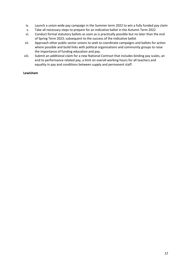- iv. Launch a union-wide pay campaign in the Summer term 2022 to win a fully funded pay claim
- v. Take all necessary steps to prepare for an indicative ballot in the Autumn Term 2022
- vi. Conduct formal statutory ballots as soon as is practically possible but no later than the end of Spring Term 2023, subsequent to the success of the indicative ballot
- vii. Approach other public sector unions to seek to coordinate campaigns and ballots for action where possible and build links with political organisations and community groups to raise the importance of funding education and pay.
- viii. Submit an additional claim for a new National Contract that includes binding pay scales, an end to performance related pay, a limit on overall working hours for all teachers and equality in pay and conditions between supply and permanent staff.

### **Lewisham**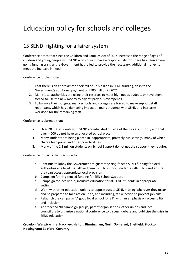## Education policy for schools and colleges

## 15 SEND: fighting for a fairer system

Conference notes that since the Children and Families Act of 2014 increased the range of ages of children and young people with SEND who councils have a responsibility for, there has been an ongoing funding crisis as the Government has failed to provide the necessary, additional money to meet the increase in need.

Conference further notes:

- 1. That there is an approximate shortfall of £2.5 billion in SEND funding, despite the Government's additional payment of £780 million in 2021
- 2. Many local authorities are using their reserves to meet high needs budgets or have been forced to use the new money to pay off previous overspends
- 3. To balance their budgets, many schools and colleges are forced to make support staff redundant, which has a damaging impact on many students with SEND and increases workload for the remaining staff.

Conference is alarmed that:

- i. Over 20,000 students with SEND are educated outside of their local authority and that over 4,000 do not have an allocated school place
- ii. Many students are being placed in inappropriate, privately-run settings, many of which charge high prices and offer poor facilities
- iii. Many of the 1.1 million students on School Support do not get the support they require.

Conference instructs the Executive to:

- a. Continue to lobby the Government to guarantee ring-fenced SEND funding for local authorities at a level that allows them to fully support students with SEND and ensure they can access appropriate local provision
- b. Campaign for ring-fenced funding for SEN School Support
- c. Campaign for locally run, inclusive education for all SEND students in appropriate settings
- d. Work with other education unions to oppose cuts to SEND staffing wherever they occur and be prepared to take action up to, and including, strike action to prevent job cuts
- e. Relaunch the campaign "A good local school for all", with an emphasis on accessibility and inclusion
- f. Approach SEND campaign groups, parent organisations, other unions and local councillors to organise a national conference to discuss, debate and publicise the crisis in SEND education.

**Croydon; Warwickshire; Hackney; Halton; Birmingham; North Somerset; Sheffield; Stockton; Nottingham; Bedford; Coventry**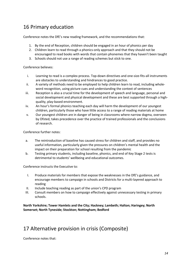## 16 Primary education

Conference notes the DfE's new reading framework, and the recommendations that:

- 1. By the end of Reception, children should be engaged in an hour of phonics per day
- 2. Children learn to read through a phonics-only approach and that they should not be encouraged to read books with words that contain phonemes that they haven't been taught
- 3. Schools should not use a range of reading schemes but stick to one.

Conference believes:

- i. Learning to read is a complex process. Top-down directives and one-size-fits-all instruments are obstacles to understanding and hindrances to good practice.
- ii. A variety of methods need to be employed to help children learn to read, including wholeword recognition, using picture cues and understanding the context of sentences
- iii. Reception is also a crucial time for the development of speech and language, personal and social development and physical development and these are best supported through a highquality, play-based environment.
- iv. An hour's formal phonics teaching each day will harm the development of our youngest children, particularly those who have little access to a range of reading materials at home
- v. Our youngest children are in danger of being in classrooms where narrow dogma, overseen by Ofsted, takes precedence over the practice of trained professionals and the conclusions of research.

Conference further notes:

- a. The reintroduction of baseline has caused stress for children and staff, and provides no useful information, particularly given the pressures on children's mental health and the impact on their preparation for school resulting from the pandemic
- b. Testing primary students, including baseline, phonics, and end of Key Stage 2 tests is detrimental to students' wellbeing and educational outcomes.

Conference instructs the Executive to:

- I. Produce materials for members that expose the weaknesses in the DfE's guidance, and encourage members to campaign in schools and Districts for a multi-layered approach to reading
- II. Include teaching reading as part of the union's CPD program
- III. Consult members on how to campaign effectively against unnecessary testing in primary schools.

### **North Yorkshire; Tower Hamlets and the City; Hackney; Lambeth; Halton; Haringey; North Somerset; North Tyneside; Stockton; Nottingham; Bedford**

## 17 Alternative provision in crisis (Composite)

Conference notes that: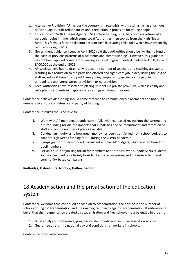- 1. Alternative Provision (AP) across the country is in real crisis, with settings facing enormous deficit budgets, staff redundancies and a reduction in provision for young people
- 2. Education and Skills Funding Agency (ESFA) place funding is based on census returns at a particular point in time, which some Local Authorities then top up from the High Needs fund. This formula fails to take into account APs' fluctuating rolls, rolls which have drastically reduced during COVID
- 3. Government guidance issued in April 2020 said that authorities should be "willing to fund on the basis of previous patterns of placements and commissioning". However, this guidance has not been applied consistently, leaving some settings with deficits between £300,000 and £400,000 at the end of 2021
- 4. AP settings have had to drastically reduce the number of teachers and teaching assistants resulting in a reduction to the provision offered and significant job losses, risking the loss of staff expertise it takes to support these young people, and pushing young people into unregulated and unregistered provision – or no provision
- 5. Local Authorities have resorted to placing students in private provision, which is costly and risks placing students in inappropriate settings whatever their needs.

Conference believes AP funding should come attached to commissioned placements and not pupil numbers to ensure consistency and parity of funding.

Conference instructs the Executive to:

- i. Work with AP members to undertake a full, evidence-based review into the current and future funding for AP, the impacts that COVID has had on recruitment and retention of staff and on the number of places available
- ii. Conduct an inquiry as to how much money has been transferred from school budgets to support High Needs funding for AP during the COVID pandemic
- iii. Campaign for properly funded, consistent and fair AP budgets, which are not based on pupil numbers
- iv. Set up a SEND organising forum for members and for those who support SEND students, so they can meet on a termly basis to discuss issues arising and organise activist and community-based campaigns.

### **Redbridge; Oxfordshire; Norfolk; Halton; Bedford**

## 18 Academisation and the privatisation of the education system

Conference welcomes the continued opposition to academisation, the decline in the number of schools opting for academisation and the ongoing campaigns against academisation. It reiterates its belief that the fragmentation created by academisation and free schools must be ended in order to:

- 1. Build a fully comprehensive, progressive, democratic and inclusive education service
- 2. Guarantee a return to national pay and conditions for workers in schools.

Conference notes with concern: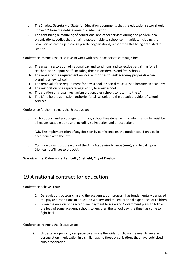- i. The Shadow Secretary of State for Education's comments that the education sector should 'move on' from the debate around academisation
- ii. The continuing outsourcing of educational and other services during the pandemic to organisations/bodies that remain unaccountable to school communities, including the provision of 'catch-up' through private organisations, rather than this being entrusted to schools.

Conference instructs the Executive to work with other partners to campaign for:

- a. The urgent restoration of national pay and conditions and collective bargaining for all teachers and support staff, including those in academies and free schools
- b. The repeal of the requirement on local authorities to seek academy proposals when planning a new school
- c. The removal of the requirement for any school in special measures to become an academy
- d. The restoration of a separate legal entity to every school
- e. The creation of a legal mechanism that enables schools to return to the LA
- f. The LA to be the admission authority for all schools and the default provider of school services.

Conference further instructs the Executive to:

I. Fully support and encourage staff in any school threatened with academisation to resist by all means possible up to and including strike action and direct actions

N.B. The implementation of any decision by conference on the motion could only be in accordance with the law.

II. Continue to support the work of the Anti-Academies Alliance (AAA), and to call upon Districts to affiliate to the AAA.

**Warwickshire; Oxfordshire; Lambeth; Sheffield; City of Preston**

## 19 A national contract for education

Conference believes that:

- 1. Deregulation, outsourcing and the academisation program has fundamentally damaged the pay and conditions of education workers and the educational experience of children
- 2. Given the erosion of directed time, payment to scale and Government plans to follow the lead of some academy schools to lengthen the school day, the time has come to fight back.

Conference instructs the Executive to:

i. Undertake a publicity campaign to educate the wider public on the need to reverse deregulation in education in a similar way to those organisations that have publicised NHS privatisation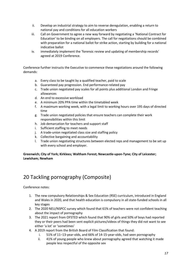- ii. Develop an industrial strategy to aim to reverse deregulation, enabling a return to national pay and conditions for all education workers
- iii. Call on Government to agree a new way forward by negotiating a 'National Contract for Education' to be binding on all employers. The call for negotiations should be combined with preparation for a national ballot for strike action, starting by building for a national indicative ballot
- iv. immediately implement the 'forensic review and updating of membership records' agreed at 2019 Conference.

Conference further instructs the Executive to commence these negotiations around the following demands:

- a. Every class to be taught by a qualified teacher, paid to scale
- b. Guaranteed pay progression. End performance-related pay
- c. Trade union negotiated pay scales for all points plus additional London and Fringe allowances
- d. An end to excessive workload
- e. A minimum 20% PPA time within the timetabled week
- f. A maximum working week, with a legal limit to working hours over 195 days of directed time
- g. Trade union negotiated policies that ensure teachers can complete their work responsibilities within this limit
- h. Job demarcation for teachers and support staff
- i. Sufficient staffing to meet needs
- j. A trade-union negotiated class size and staffing policy
- k. Collective bargaining and accountability
- l. Trade union negotiating structures between elected reps and management to be set up with every school and employer.

**Greenwich; City of York; Kirklees; Waltham Forest; Newcastle-upon-Tyne; City of Leicester; Lewisham; Newham**

## 20 Tackling pornography (Composite)

Conference notes:

- 1. The new compulsory Relationships & Sex Education (RSE) curriculum, introduced in England and Wales in 2020, and that health education is compulsory in all state-funded schools in all key stages
- 2. The 2020 NEU/NSPCC survey which found that 61% of teachers were not confident teaching about the impact of pornography
- 3. The 2021 report from OFSTED which found that 90% of girls and 50% of boys had reported they or their peers had been sent explicit pictures/videos of things they did not want to see either 'a lot' or 'sometimes'
- 4. A 2019 report from the British Board of Film Classification that found:
	- i. 51% of 11–13-year-olds, and 66% of 14-15-year-olds, had seen pornography
	- ii. 41% of young people who knew about pornography agreed that watching it made people less respectful of the opposite sex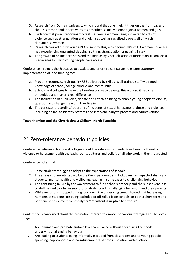- 5. Research from Durham University which found that one in eight titles on the front pages of the UK's most popular porn websites described sexual violence against women and girls
- 6. Evidence that porn predominantly features young women being subjected to acts of violence such as strangulation and choking as well as racialised tropes, all of which dehumanise women
- 7. Research carried out by You Can't Consent to This, which found 38% of UK women under 40 had experiencing unwanted slapping, spitting, strangulation or gagging in sex
- 8. The growth of online porn sites and the increasingly sexualisation of more mainstream social media sites to which young people have access.

Conference instructs the Executive to escalate and prioritise campaigns to ensure statutory implementation of, and funding for:

- a. Properly resourced, high-quality RSE delivered by skilled, well-trained staff with good knowledge of school/college context and community
- b. Schools and colleges to have the time/resources to develop this work so it becomes embedded and makes a real difference
- c. The facilitation of pupil voice, debate and critical thinking to enable young people to discuss, question and change the world they live in.
- d. The consistent recording/reporting of incidents of sexual harassment, abuse and violence, including online, to identify patterns and intervene early to prevent and address abuse.

### **Tower Hamlets and the City; Hackney; Oldham; North Tyneside**

## 21 Zero-tolerance behaviour policies

Conference believes schools and colleges should be safe environments, free from the threat of violence or harassment with the background, cultures and beliefs of all who work in them respected.

Conference notes that:

- 1. Some students struggle to adapt to the expectations of schools
- 2. The stress and anxiety caused by the Covid pandemic and lockdown has impacted sharply on students' mental health and wellbeing, leading in some cases to challenging behaviour
- 3. The continuing failure by the Government to fund schools properly and the subsequent loss of staff has led to a fall in support for students with challenging behaviour and their parents
- 4. While exclusions dropped during lockdown, the underlying trend showed that increasing numbers of students are being excluded or off rolled from schools on both a short term and permanent basis, most commonly for "Persistent disruptive behaviour"

Conference is concerned about the promotion of 'zero-tolerance' behaviour strategies and believes they:

- i. Are inhuman and promote surface level compliance without addressing the needs underlying challenging behaviour
- ii. Are leading to students being informally excluded from classrooms and to young people spending inappropriate and harmful amounts of time in isolation within school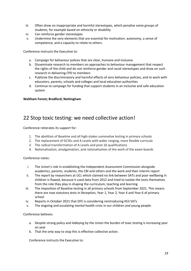- iii. Often draw on inappropriate and harmful stereotypes, which penalise some groups of students, for example based on ethnicity or disability
- iv. Can reinforce gender stereotypes
- v. Undermine the very elements that are essential for motivation: autonomy, a sense of competence, and a capacity to relate to others.

Conference instructs the Executive to:

- a. Campaign for behaviour polices that are clear, humane and inclusive
- b. Disseminate research to members on approaches to behaviour management that respect the rights of the child and do not reinforce gender and racial stereotypes and draw on such research in delivering CPD to members
- c. Publicise the discriminatory and harmful effects of zero behaviour policies, and to work with educators, parents, schools and colleges and local education authorities
- d. Continue to campaign for funding that support students in an inclusive and safe education system

### **Waltham Forest; Bradford; Nottingham**

## 22 Stop toxic testing: we need collective action!

Conference reiterates its support for:

- 1. The abolition of Baseline and all high-stakes summative testing in primary schools
- 2. The replacement of GCSEs and A Levels with wider ranging, more flexible curricula
- 3. The radical transformation of A Levels and post-16 qualifications
- 4. Nationalisation, amalgamation, and rationalisation of the work of the exam boards

Conference notes:

- i. The Union's role in establishing the Independent Assessment Commission alongside academics, parents, students, the CBI and others and the work and their interim report
- ii. The report by researchers at UCL which claimed no link between SATs and poor wellbeing in children is flawed, because it used data from 2012 and tried to isolate the tests themselves from the role they play in shaping the curriculum, teaching and learning
- iii. The imposition of Baseline testing in all primary schools from September 2021. This means there are now statutory tests in Reception, Year 1, Year 2, Year 4 and Year 6 of primary school
- iv. Reports in October 2021 that DFE is considering reintroducing KS3 SATs
- v. The ongoing and escalating mental health crisis in our children and young people.

Conference believes:

- a. Despite strong policy and lobbying by the Union the burden of toxic testing is increasing year on year
- b. That the only way to stop this is effective collective action.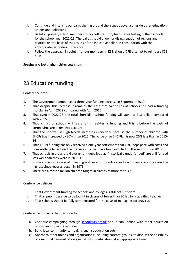- I. Continue and intensify our campaigning around the issues above, alongside other education unions and politicians
- II. Ballot all primary school members to boycott statutory high stakes testing in their schools for the school year 2022/23. The ballot should allow for disaggregation of regions and districts on the basis of the results of the indicative ballot, in consultation with the appropriate lay bodies in the area
- III. Follow the approach in point II for our members in KS3, should DFE attempt to reimpose KS3 SATs.

### **Southwark; Nottinghamshire; Lewisham**

## 23 Education funding

Conference notes:

- 1. The Government announced a three-year funding increase in September 2019.
- 2. That despite this increase it remains the case that two-thirds of schools still had a funding shortfall in April 2022 compared with April 2015
- 3. That even in 2022-23, the total shortfall in school funding will stand at £1.6 billion compared with 2015-16
- 4. That a third of schools will see a fall in real-terms funding and this is before the costs of coronavirus are taken into account
- 5. That the shortfall in High Needs increases every year because the number of children with EHCPs has increased by 80% since 2015. The value of an EHC Plan is now 26% less than in 2015- 16
- 6. That 16-19 funding has only received a one-year settlement that just keeps pace with costs and does nothing to redress the massive cuts that have been inflicted on the sector since 2010
- 7. That schools in areas the Government described as "historically underfunded" are still funded less well than they were in 2015-16
- 8. Primary class sizes are at their highest level this century and secondary class sizes are the highest since records began in 1978
- 9. There are almost a million children taught in classes of more than 30.

Conference believes:

- i. That Government funding for schools and colleges is still not sufficient
- ii. That all pupils deserve to be taught in classes of fewer than 30 led by a qualified teacher
- iii. That schools should be fully compensated for the costs of managing coronavirus.

- a. Continue campaigning through schoolcuts.org.uk and in conjunction with other education unions and other stakeholders
- b. Build local community campaigns against education cuts
- c. Approach other unions and organisations, including parents' groups, to discuss the possibility of a national demonstration against cuts to education, at an appropriate time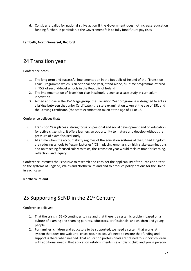d. Consider a ballot for national strike action if the Government does not increase education funding further, in particular, if the Government fails to fully fund future pay rises.

### **Lambeth; North Somerset; Bedford**

### 24 Transition year

Conference notes:

- 1. The long term and successful implementation in the Republic of Ireland of the "Transition Year" Programme which is an optional one-year, stand-alone, full-time programme offered in 75% of second-level schools in the Republic of Ireland
- 2. The implementation of Transition Year in schools is seen as a case study in curriculum innovation
- 3. Aimed at those in the 15-16 age group, the Transition Year programme is designed to act as a bridge between the Junior Certificate, (the state examination taken at the age of 15), and the Leaving Certificate, (the state examination taken at the age of 17 or 18).

Conference believes that:

- i. Transition Year places a strong focus on personal and social development and on education for active citizenship. It offers learners an opportunity to mature and develop without the pressure of exam focused study.
- ii. At a time when the accountability regimes of the education systems of the United Kingdom are reducing schools to "exam factories" (CBI), placing emphasis on high stake examinations, and on teaching focused solely to tests, the Transition year would reclaim time for learning, reflection, and inquiry.

Conference instructs the Executive to research and consider the applicability of the Transition Year to the systems of England, Wales and Northern Ireland and to produce policy options for the Union in each case.

### **Northern Ireland**

## 25 Supporting SEND in the 21<sup>st</sup> Century

Conference believes:

- 1. That the crisis in SEND continues to rise and that there is a systemic problem based on a culture of blaming and shaming parents, educators, professionals, and children and young people
- 2. For families, children and educators to be supported, we need a system that works. A system that does not wait until crises occur to act. We need to ensure that funding and support is there when needed. That education professionals are trained to support children with additional needs. That education establishments use a holistic child and young person-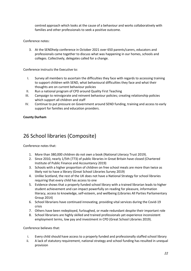centred approach which looks at the cause of a behaviour and works collaboratively with families and other professionals to seek a positive outcome.

Conference notes:

3. At the SENDhelp conference in October 2021 over 650 parents/carers, educators and professionals came together to discuss what was happening in our homes, schools and colleges. Collectively, delegates called for a change.

Conference instructs the Executive to:

- I. Survey all members to ascertain the difficulties they face with regards to accessing training to support children with SEND, what behavioural difficulties they face and what their thoughts are on current behaviour policies
- II. Run a national program of CPD around Quality First Teaching
- III. Campaign to reinvigorate and reinvent behaviour policies; creating relationship policies which support all children and staff
- IV. Continue to put pressure on Government around SEND funding, training and access to early support for families and education providers.

### **County Durham**

## 26 School libraries (Composite)

Conference notes that:

- 1. More than 380,000 children do not own a book (National Literacy Trust 2019).
- 2. Since 2010, nearly 1/5th (773) of public libraries in Great Britain have closed (Chartered Institute of Public Finance and Accountancy 2019)
- 3. Schools with a higher proportion of children on free school meals are more than twice as likely not to have a library (Great School Libraries Survey 2019)
- 4. Unlike Scotland, the rest of the UK does not have a National Strategy for school libraries requiring that every child has access to one
- 5. Evidence shows that a properly funded school library with a trained librarian leads to higher student achievement and can impact powerfully on reading for pleasure, information literacy, access to knowledge, self-esteem, and wellbeing (Libraries All Parties Parliamentary Group 2014)
- 6. School librarians have continued innovating, providing vital services during the Covid-19 crisis
- 7. Others have been redeployed, furloughed, or made redundant despite their important role
- 8. School librarians are highly skilled and trained professionals yet experience inconsistent employment terms, low pay and investment in CPD (Great School Libraries 2019).

Conference believes that:

- i. Every child should have access to a properly funded and professionally staffed school library
- ii. A lack of statutory requirement, national strategy and school funding has resulted in unequal provision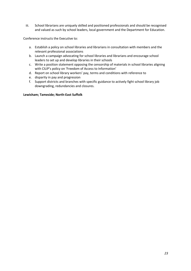iii. School librarians are uniquely skilled and positioned professionals and should be recognised and valued as such by school leaders, local government and the Department for Education.

Conference instructs the Executive to:

- a. Establish a policy on school libraries and librarians in consultation with members and the relevant professional associations
- b. Launch a campaign advocating for school libraries and librarians and encourage school leaders to set up and develop libraries in their schools
- c. Write a position statement opposing the censorship of materials in school libraries aligning with CILIP's policy on 'Freedom of Access to Information'
- d. Report on school library workers' pay, terms and conditions with reference to
- e. disparity in pay and progression
- f. Support districts and branches with specific guidance to actively fight school library job downgrading, redundancies and closures.

### **Lewisham; Tameside; North-East Suffolk**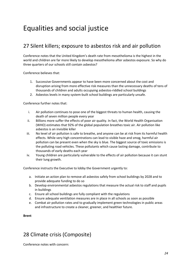## Equalities and social justice

## 27 Silent killers; exposure to asbestos risk and air pollution

Conference notes that the United Kingdom's death rate from mesothelioma is the highest in the world and children are far more likely to develop mesothelioma after asbestos exposure. So why do three quarters of our schools still contain asbestos?

Conference believes that:

- 1. Successive Governments appear to have been more concerned about the cost and disruption arising from more effective risk measures than the unnecessary deaths of tens of thousands of children and adults occupying asbestos-riddled school buildings
- 2. Asbestos levels in many system-built school buildings are particularly unsafe.

Conference further notes that:

- i. Air pollution continues to pose one of the biggest threats to human health, causing the death of seven million people every year
- ii. Billions more suffer the effects of poor air quality. In fact, the World Health Organisation (WHO) estimates that 92% of the global population breathes toxic air. Air pollution like asbestos is an invisible killer
- iii. No level of air pollution is safe to breathe, and anyone can be at risk from its harmful health effects. While very high concentrations can lead to visible haze and smog, harmful air pollution can be present even when the sky is blue. The biggest source of toxic emissions is the polluting road vehicles. These pollutants which cause lasting damage, contribute to thousands of early deaths each year
- iv. Young children are particularly vulnerable to the effects of air pollution because it can stunt their lung growth.

Conference instructs the Executive to lobby the Government urgently to:

- a. Initiate an action plan to remove all asbestos safely from school buildings by 2028 and to provide adequate funding to do so
- b. Develop environmental asbestos regulations that measure the actual risk to staff and pupils in buildings
- c. Ensure all school buildings are fully compliant with the regulations
- d. Ensure adequate ventilation measures are in place in all schools as soon as possible
- e. Combat air pollution rates and to gradually implement green technologies in public areas and infrastructure to create a cleaner, greener, and healthier future.

### **Brent**

## 28 Climate crisis (Composite)

Conference notes with concern: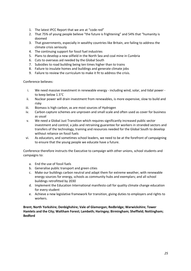- 1. The latest IPCC Report that we are at "code red"
- 2. That 75% of young people believe "the future is frightening" and 54% that "humanity is doomed
- 3. That governments, especially in wealthy countries like Britain, are failing to address the climate crisis seriously
- 4. The continuing support for fossil fuel industries
- 5. Plans to develop a new oilfield in the North Sea and coal mine in Cumbria
- 6. Cuts to overseas aid needed by the Global South
- 7. Subsidies to road building being ten times higher than to trains
- 8. Failure to insulate homes and buildings and generate climate jobs
- 9. Failure to review the curriculum to make it fit to address the crisis.

Conference believes:

- i. We need massive investment in renewable energy including wind, solar, and tidal power to keep below 1.5°C
- ii. Nuclear power will drain investment from renewables, is more expensive, slow to build and risky
- iii. Biomass is high carbon, as are most sources of Hydrogen
- iv. Carbon capture schemes are unproven and small scale and often used as cover for business as usual
- v. We need a Global Just Transition which requires significantly increased public sector investment and control, a jobs and retraining guarantee for workers in stranded sectors and transfers of the technology, training and resources needed for the Global South to develop without reliance on fossil fuels
- vi. As educators, and sometimes school leaders, we need to be at the forefront of campaigning to ensure that the young people we educate have a future.

Conference therefore instructs the Executive to campaign with other unions, school students and campaigns to:

- a. End the use of fossil fuels
- b. Generalise public transport and green cities
- c. Make our buildings carbon neutral and adapt them for extreme weather, with renewable energy sources for energy, schools as community hubs and exemplars; and all school buildings retrofitted by 2030
- d. Implement the Education International manifesto call for quality climate change education for every student
- e. Achieve a new legislative framework for transition, giving duties to employers and rights to workers.

### **Brent; North Yorkshire; Denbighshire; Vale of Glamorgan; Redbridge; Warwickshire; Tower Hamlets and the City; Waltham Forest; Lambeth; Haringey; Birmingham; Sheffield; Nottingham; Bedford**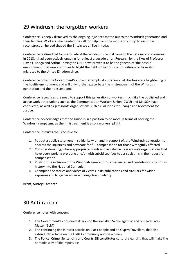## 29 Windrush: the forgotten workers

Conference is deeply dismayed by the ongoing injustices meted out to the Windrush generation and their families. Workers who heeded the call for help from 'the mother country' to assist her reconstruction helped shaped the Britain we all live in today.

Conference realises that for many, whilst the Windrush scandal came to the national consciousness in 2018, it had been actively ongoing for at least a decade prior. Research by the likes of Professor David Olusoga and Arthur Torrington OBE, have proven it to be the genesis of 'the hostile environment' that now continues to blight the rights of various communities who have also migrated to the United Kingdom since.

Conference notes the Government's current attempts at curtailing civil liberties are a heightening of the hostile environment and will only further exacerbate the mistreatment of the Windrush generation and their descendants.

Conference recognises the need to support this generation of workers much like the published and active work other unions such as the Communication Workers Union (CWU) and UNISON have conducted, as well as grassroots organisations such as Solutions for Change and Movement for Justice.

Conference acknowledges that the Union is in a position to do more in terms of backing the Windrush campaigns, as their mistreatment is also a workers' plight.

Conference instructs the Executive to:

- 1. Put out a public statement in solidarity with, and in support of, the Windrush generation to address the injustices and advocate for full compensation for those wrongfully affected
- 2. Consider donating, where appropriate, funds and assistance to grassroots organisations that have been working pro bono and/or with subsidised fees to assist victims in their quest for compensation
- 3. Push for the inclusion of the Windrush generation's experiences and contributions to British history into the National Curriculum
- 4. Champion the stories and voices of victims in its publications and circulars for wider exposure and to garner wider working-class solidarity.

### **Brent; Surrey; Lambeth**

### 30 Anti-racism

Conference notes with concern:

- 1. The Government's continued attacks on the so-called 'woke agenda' and on Black Lives Matter (BLM)
- 2. The continuing rise in racist attacks on Black people and on Gypsy/Travellers, that also extend into attacks on the LGBT+ community and on women
- 3. The Police, Crime, Sentencing and Courts Bill constitutes cultural cleansing that will make the nomadic way of life impossible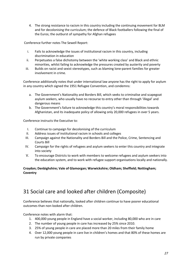4. The strong resistance to racism in this country including the continuing movement for BLM and for decolonising the curriculum; the defence of Black footballers following the final of the Euros; the outburst of sympathy for Afghan refugees

Conference further notes The Sewell Report:

- i. Fails to acknowledge the issues of institutional racism in this country, including discrimination in education
- ii. Perpetuates a false dichotomy between the 'white working class' and Black and ethnic minorities, whilst failing to acknowledge the pressures created by austerity and poverty
- iii. Builds on racist and sexist stereotypes, such as blaming lone-parent families for greater involvement in crime.

Conference additionally notes that under international law anyone has the right to apply for asylum in any country which signed the 1951 Refugee Convention, and condemns:

- a. The Government's Nationality and Borders Bill, which seeks to criminalise and scapegoat asylum seekers, who usually have no recourse to entry other than through 'illegal' and dangerous means
- b. The Government's failure to acknowledge this country's moral responsibilities towards Afghanistan, and its inadequate policy of allowing only 20,000 refugees in over 5 years.

Conference instructs the Executive to:

- I. Continue to campaign for decolonising of the curriculum
- II. Address issues of institutional racism in schools and colleges
- III. Campaign against the Nationality and Borders Bill and the Police, Crime, Sentencing and Courts Bill
- IV. Campaign for the rights of refugees and asylum seekers to enter this country and integrate into society
- V. To encourage Districts to work with members to welcome refugees and asylum seekers into the education system, and to work with refugee support organisations locally and nationally.

### **Croydon; Denbighshire; Vale of Glamorgan; Warwickshire; Oldham; Sheffield; Nottingham; Coventry**

## 31 Social care and looked after children (Composite)

Conference believes that nationally, looked after children continue to have poorer educational outcomes than non-looked after children.

Conference notes with alarm that:

- 1. 400,000 young people in England have a social worker, including 80,000 who are in care
- 2. The number of young people in care has increased by 25% since 2010.
- 3. 25% of young people in care are placed more than 20 miles from their family home
- 4. Over 12,000 young people in care live in children's homes and that 80% of these homes are run by private companies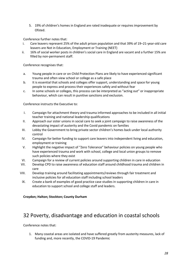5. 19% of children's homes in England are rated inadequate or requires improvement by Ofsted.

Conference further notes that:

- i. Care leavers represent 25% of the adult prison population and that 39% of 19–21-year-old care leavers are Not in Education, Employment or Training (NEET)
- ii. 16% of social worker posts in children's social care in England are vacant and a further 15% are filled by non-permanent staff.

Conference recognises that:

- a. Young people in care or on Child Protection Plans are likely to have experienced significant trauma and often view school or college as a safe place
- b. It is essential that schools and colleges offer support, understanding and space for young people to express and process their experiences safely and without fear
- c. In some schools or colleges, this process can be interpreted as "acting out" or inappropriate behaviour, which can result in punitive sanctions and exclusion.

Conference instructs the Executive to:

- I. Campaign for attachment theory and trauma informed approaches to be included in all initial teacher training and national leadership qualifications
- II. Approach our sister unions in social care to seek a joint campaign to raise awareness of the devastating impact of austerity and the Covid pandemic on families
- III. Lobby the Government to bring private sector children's homes back under local authority control
- IV. Campaign for better funding to support care leavers into independent living and education, employment or training
- V. Highlight the negative impact of "Zero Tolerance" behaviour policies on young people who have experienced trauma and work with school, college and local union groups to remove such policies where they exist
- VI. Campaign for a review of current policies around supporting children in care in education
- VII. Develop CPD to raise awareness of education staff around childhood trauma and children in care
- VIII. Develop training around facilitating appointments/reviews through fair treatment and inclusive policies for all education staff including school leaders
- IX. Create a bank of examples of good practice case studies in supporting children in care in education to support school and college staff and leaders.

### **Croydon; Halton; Stockton; County Durham**

## 32 Poverty, disadvantage and education in coastal schools

Conference notes that:

1. Many coastal areas are isolated and have suffered greatly from austerity measures, lack of funding and, more recently, the COVID-19 Pandemic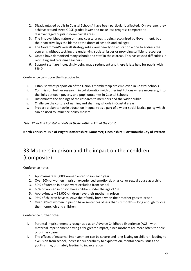- 2. Disadvantaged pupils in Coastal Schools\* have been particularly affected. On average, they achieve around three GCSE grades lower and make less progress compared to disadvantaged pupils in non-coastal areas
- 3. The impoverished nature of many coastal areas is being recognised by Government, but their narrative lays the blame at the doors of schools and colleges
- 4. The Government's overall strategy relies very heavily on education alone to address the concerns without tackling the underlying societal issues or providing sufficient resources
- 5. Ofsted have demonised many schools and staff in these areas. This has caused difficulties in recruiting and retaining teachers
- 6. Support staff are increasingly being made redundant and there is less help for pupils with SEND.

Conference calls upon the Executive to:

- i. Establish what proportion of the Union's membership are employed in Coastal Schools
- ii. Commission further research, in collaboration with other institutions where necessary, into the links between poverty and pupil outcomes in Coastal Schools
- iii. Disseminate the findings of the research to members and the wider public
- iv. Challenge the culture of naming and shaming schools in Coastal areas
- v. Prepare a plan to tackle education inequality as a part of a wider social justice policy which can be used to influence policy makers.

*\*the DfE define Coastal Schools as those within 6 km of the coast.*

**North Yorkshire; Isle of Wight; Staffordshire; Somerset; Lincolnshire; Portsmouth; City of Preston**

## 33 Mothers in prison and the impact on their children (Composite)

Conference notes:

- 1. Approximately 8,000 women enter prison each year
- 2. Over 50% of women in prison experienced emotional, physical or sexual abuse as a child
- 3. 50% of women in prison were excluded from school
- 4. 60% of women in prison have children under the age of 18
- 5. Approximately 18,000 children have their mother in prison
- 6. 95% of children have to leave their family home when their mother goes to prison
- 7. Over 60% of women in prison have sentences of less than six months long enough to lose their home, job and children

Conference further notes:

- i. Parental imprisonment is recognized as an Adverse Childhood Experience (ACE), with maternal imprisonment having a far greater impact, since mothers are more often the sole or primary carer
- ii. The effects of maternal imprisonment can be severe and long-lasting on children, leading to exclusion from school, increased vulnerability to exploitation, mental health issues and youth crime, ultimately leading to incarceration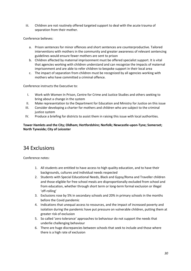iii. Children are not routinely offered targeted support to deal with the acute trauma of separation from their mother.

Conference believes:

- a. Prison sentences for minor offences and short sentences are counterproductive. Tailored interventions with mothers in the community and greater awareness of relevant sentencing guidelines would ensure fewer mothers are sent to prison
- b. Children affected by maternal imprisonment must be offered specialist support. It is vital that agencies working with children understand and can recognize the impacts of maternal imprisonment and are able to refer children to bespoke support in their local area
- c. The impact of separation from children must be recognized by all agencies working with mothers who have committed a criminal offence.

Conference instructs the Executive to:

- I. Work with Women In Prison, Centre for Crime and Justice Studies and others seeking to bring about a change in the system
- II. Make representation to the Department for Education and Ministry for Justice on this issue
- III. Consider developing a charter for mothers and children who are subject to the criminal justice system
- IV. Produce a briefing for districts to assist them in raising this issue with local authorities.

**Tower Hamlets and the City; Oldham; Hertfordshire; Norfolk; Newcastle-upon-Tyne; Somerset; North Tyneside; City of Leicester**

## 34 Exclusions

Conference notes:

- 1. All students are entitled to have access to high quality education, and to have their backgrounds, cultures and individual needs respected
- 2. Students with Special Educational Needs, Black and Gypsy/Roma and Traveller children and those eligible for free school meals are disproportionally excluded from school and from education, whether through short term or long-term formal exclusion or illegal 'off-rolling'
- 3. Exclusions rose by 5% in secondary schools and 20% in primary schools in the months before the Covid pandemic
- 4. Indications that unequal access to resources, and the impact of increased poverty and isolation during the pandemic have put pressure on vulnerable children, putting them at greater risk of exclusion
- 5. So called 'zero tolerance' approaches to behaviour do not support the needs that underlie challenging behaviour
- 6. There are huge discrepancies between schools that seek to include and those where there is a high rate of exclusion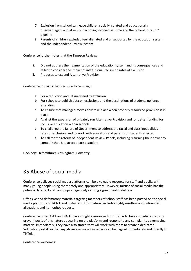- 7. Exclusion from school can leave children socially isolated and educationally disadvantaged, and at risk of becoming involved in crime and the 'school to prison' pipeline
- 8. Parents of children excluded feel alienated and unsupported by the education system and the Independent Review System

Conference further notes that the Timpson Review:

- i. Did not address the fragmentation of the education system and its consequences and failed to consider the impact of institutional racism on rates of exclusion
- ii. Proposes to expand Alternative Provision

Conference instructs the Executive to campaign:

- a. For a reduction and ultimate end to exclusion
- b. For schools to publish data on exclusions and the destinations of students no longer attending
- c. To ensure that managed moves only take place when properly resourced provision is in place
- d. Against the expansion of privately run Alternative Provision and for better funding for inclusive education within schools
- e. To challenge the failure of Government to address the racial and class inequalities in rates of exclusion, and to work with educators and parents of students affected
- f. To call for the reform of Independent Review Panels, including returning their power to compel schools to accept back a student

### **Hackney; Oxfordshire; Birmingham; Coventry**

## 35 Abuse of social media

Conference believes social media platforms can be a valuable resource for staff and pupils, with many young people using them safely and appropriately. However, misuse of social media has the potential to affect staff and pupils negatively causing a great deal of distress.

Offensive and defamatory material targeting members of school staff has been posted on the social media platforms of TikTok and Instagram. This material includes highly insulting and unfounded allegations and homophobic abuse.

Conference notes ASCL and NAHT have sought assurances from TikTok to take immediate steps to prevent posts of this nature appearing on the platform and respond to any complaints by removing material immediately. They have also stated they will work with them to create a dedicated 'education portal' so that any abusive or malicious videos can be flagged immediately and directly to TikTok.

Conference welcomes: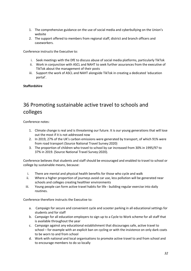- 1. The comprehensive guidance on the use of social media and cyberbullying on the Union's website
- 2. The support offered to members from regional staff, district and branch officers and caseworkers.

Conference instructs the Executive to:

- i. Seek meetings with the DfE to discuss abuse of social media platforms, particularly TikTok
- ii. Work in conjunction with ASCL and NAHT to seek further assurances from the executive of TikTok about the management of their posts
- iii. Support the work of ASCL and NAHT alongside TikTok in creating a dedicated 'education portal'.

### **Staffordshire**

## 36 Promoting sustainable active travel to schools and colleges

Conference notes:

- 1. Climate change is real and is threatening our future. It is our young generations that will lose out the most if it is not addressed now
- 2. In 2019, 27% of the UK's carbon emissions were generated by transport, of which 91% were from road transport (Source National Travel Survey:2020)
- 3. The proportion of children who travel to school by car increased from 30% in 1995/97 to 37% in 2019. (Source National Travel Survey:2020).

Conference believes that students and staff should be encouraged and enabled to travel to school or college by sustainable means, because:

- i. There are mental and physical health benefits for those who cycle and walk
- ii. Where a higher proportion of journeys avoid car use, less pollution will be generated near schools and colleges creating healthier environments
- iii. Young people can form active travel habits for life building regular exercise into daily routines.

Conference therefore instructs the Executive to:

- a. Campaign for secure and convenient cycle and scooter parking in all educational settings for students and for staff
- b. Campaign for all education employers to sign up to a Cycle to Work scheme for all staff that is available throughout the year
- c. Campaign against any educational establishment that discourages safe, active travel to school – for example with an explicit ban on cycling or with the insistence on only dark coats to be worn to and from school
- d. Work with national and local organisations to promote active travel to and from school and to encourage members to do so locally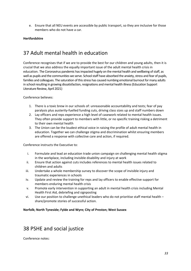e. Ensure that all NEU events are accessible by public transport, so they are inclusive for those members who do not have a car.

### **Hertfordshire**

## 37 Adult mental health in education

Conference recognises that if we are to provide the best for our children and young adults, then it is crucial that we also address the equally important issue of the adult mental health crisis in education. The Coronavirus pandemic has impacted hugely on the mental health and wellbeing of staff, as well as pupils and the communities we serve. School staff have absorbed the anxiety, stress and fear of pupils, families and colleagues. The saturation of this stress has caused numbing emotional burnout for many adults in school resulting in growing dissatisfaction, resignations and mental health illness (Education Support Literature Review, April 2021)

Conference believes:

- 1. There is a toxic brew in our schools of: unreasonable accountability and tests; fear of pay paralysis plus austerity-fuelled funding cuts, driving class sizes up and staff numbers down
- 2. Lay officers and reps experience a high level of casework related to mental health issues. They often provide support to members with little, or no specific training risking a detriment to their own mental health
- 3. The Union can be the loudest ethical voice in raising the profile of adult mental health in education. Together we can challenge stigma and discrimination whilst ensuring members are offered a response with collective care and action, if required.

Conference instructs the Executive to:

- i. Formulate and lead an education trade union campaign on challenging mental health stigma in the workplace, including invisible disability and injury at work
- ii. Ensure that action against cuts includes references to mental health issues related to children and adults
- iii. Undertake a whole membership survey to discover the scope of invisible injury and traumatic experiences in schools
- iv. Update and review the training for reps and lay officers to enable effective support for members enduring mental health crisis
- v. Promote early intervention in supporting an adult in mental health crisis including Mental Health First Aid, debriefing and signposting
- vi. Use our position to challenge unethical leaders who do not prioritise staff mental health share/promote stories of successful action.

### **Norfolk; North Tyneside; Fylde and Wyre; City of Preston; West Sussex**

### 38 PSHE and social justice

Conference notes: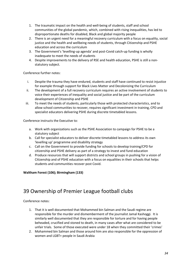- 1. The traumatic impact on the health and well-being of students, staff and school communities of the global pandemic, which, combined with rising inequalities, has led to disproportionate deaths for disabled, Black and global majority people
- 2. There is an urgent need for a meaningful recovery curriculum with a focus on equality, social justice and the health and wellbeing needs of students, through Citizenship and PSHE education and across the curriculum
- 3. The Government's 'levelling-up agenda' and post-Covid catch-up funding is wholly inadequate to meet the needs of students
- 4. Despite improvements to the delivery of RSE and health education, PSHE is still a nonstatutory subject.

Conference further notes:

- i. Despite the trauma they have endured, students and staff have continued to resist injustice for example through support for Black Lives Matter and Decolonizing the Curriculum
- ii. The development of a full recovery curriculum requires an active involvement of students to voice their experiences of inequality and social justice and be part of the curriculum development of Citizenship and PSHE
- iii. To meet the needs of students, particularly those with protected characteristics, and to allow school communities to recover, requires significant investment in training, CPD and specialist educators delivering PSHE during discrete timetabled lessons.

Conference instructs the Executive to:

- a. Work with organizations such as the PSHE Association to campaign for PSHE to be a statutory subject
- b. Call for specialist educators to deliver discrete timetabled lessons to address its own 'levelling up' programme and disability strategy
- c. Call on the Government to provide funding for schools to develop training/CPD for citizenship and PSHE delivery as part of a strategy to invest and fund education
- d. Produce resources that will support districts and school groups in pushing for a vision of Citizenship and of PSHE education with a focus on equalities in their schools that helps students and communities recover post Covid.

### **Waltham Forest (106); Birmingham (133)**

## 39 Ownership of Premier League football clubs

Conference notes:

- 1. That it is well documented that Mohammed bin Salman and the Saudi regime are responsible for the murder and dismemberment of the journalist Jamal Kashoggi.  It is similarly well documented that they are responsible for torture and for having people beheaded, crucified and stoned to death, in many cases after what are considered to be unfair trials. Some of those executed were under 18 when they committed their 'crimes'
- 2. Mohammed bin Salman and those around him are also responsible for the oppression of women and LGBT+ people in Saudi Arabia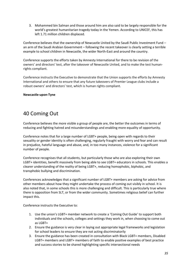3. Mohammed bin Salman and those around him are also said to be largely responsible for the world's greatest humanitarian tragedy today in the Yemen. According to UNICEF, this has left 1.71 million children displaced.

Conference believes that the ownership of Newcastle United by the Saudi Public Investment Fund – an arm of the Saudi Arabian Government – following the recent takeover is clearly setting a terrible example to school children in Newcastle, the wider North-East and around the country.

Conference supports the efforts taken by Amnesty International for there to be revision of the owners' and directors' test, after the takeover of Newcastle United, and to make the test humanrights compliant.

Conference instructs the Executive to demonstrate that the Union supports the efforts by Amnesty International and others to ensure that any future takeovers of Premier League clubs include a robust owners' and directors' test, which is human rights compliant.

### **Newcastle-upon-Tyne**

## 40 Coming Out

Conference believes the more visible a group of people are, the better the outcomes in terms of reducing and fighting hatred and misunderstandings and enabling more equality of opportunity.

Conference notes that for a large number of LGBT+ people, being open with regards to their sexuality or gender identity is often challenging, regularly fraught with worry and fear and can result in prejudice, hateful language and abuse, and, in too many instances, violence for a significant number of people.

Conference recognises that all students, but particularly those who are also exploring their own LGBT+ identities, benefit massively from being able to see LGBT+ educators in schools. This enables a clearer understanding of the reality of being LGBT+, reducing homophobic, biphobic, and transphobic bullying and discrimination.

Conferences acknowledges that a significant number of LGBT+ members are asking for advice from other members about how they might undertake the process of coming out visibly in school. It is also noted that, in some schools this is more challenging and difficult. This is particularly true where there is opposition from SLT, or from the wider community. Sometimes religious belief can further impact this.

- 1. Use the union's LGBT+ member network to create a 'Coming Out Guide' to support both individuals and the schools, colleges and settings they work in, when choosing to come out as LGBT+
- 2. Ensure the guidance is very clear in laying out appropriate legal frameworks and legislation for school leaders to ensure they are not acting discriminatorily
- 3. Ensure the guidance has been created in consultation with Black LGBT+ members, Disabled LGBT+ members and LGBT+ members of faith to enable positive examples of best practice and success stories to be shared highlighting specific intersectional needs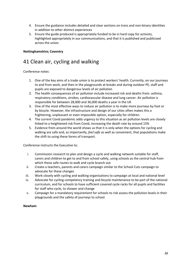- 4. Ensure the guidance includes detailed and clear sections on trans and non-binary identities in addition to other distinct experiences
- 5. Ensure the guide produced is appropriately funded to be in hard copy for activists, highlighted appropriately in our communications, and that it is published and publicised across the union.

### **Nottinghamshire; Coventry**

## 41 Clean air, cycling and walking

### Conference notes:

- 1. One of the key aims of a trade union is to protect workers' health. Currently, on our journeys to and from work, and then in the playgrounds at breaks and during outdoor PE, staff and pupils are exposed to dangerous levels of air pollution
- 2. The health consequences of air pollution include increased risk and deaths from: asthma, respiratory conditions, strokes, cardiovascular disease and lung cancer. Air pollution is responsible for between 28,000 and 36,000 deaths a year in the UK
- 3. One of the most effective ways to reduce air pollution is to make more journeys by foot or by bicycle. However, the infrastructure and design of our cities often makes this a frightening, unpleasant or even impossible option, especially for children.
- 4. The current Covid pandemic adds urgency to this situation as air pollution levels are closely linked to a heightened risk from Covid, increasing the death rate by around 15%
- 5. Evidence from around the world shows us that it is only when the options for cycling and walking are safe and, as importantly, *feel safe* as well as convenient, that populations make the shift to using these forms of transport.

Conference instructs the Executive to:

- i. Commission research to plan and design a cycle and walking network suitable for staff, carers and children to get to and from school safely, using schools as the central hub from which these safe routes to walk and cycle branch out
- ii. Create a teachers, parents and carers campaign similar to the School Cuts campaign to advocate for these changes
- iii. Work closely with cycling and walking organisations to campaign at local and national level
- iv. Advocate for cycling competency training and bicycle maintenance to be part of the national curriculum, and for schools to have sufficient covered cycle racks for all pupils and facilities for staff who cycle, to shower and change
- v. Campaign for a mandatory requirement for schools to risk assess the pollution levels in their playgrounds and the safety of journeys to school.

### **Newham**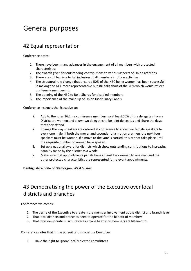## General purposes

## 42 Equal representation

Conference notes:

- 1. There have been many advances in the engagement of all members with protected characteristics
- 2. The awards given for outstanding contributions to various aspects of Union activities
- 3. There are still barriers to full inclusion of all members in Union activities
- 4. The structural rule change that ensured 50% of the NEC being women has been successful in making the NEC more representative but still falls short of the 76% which would reflect our female membership
- 5. The opening of the NEC to Role-Shares for disabled members
- 6. The importance of the make-up of Union Disciplinary Panels.

Conference instructs the Executive to:

- i. Add to the rules 16.2. re conference members so at least 50% of the delegates from a District are women and allow two delegates to be joint delegates and share the days that they attend.
- ii. Change the way speakers are ordered at conference to allow two female speakers to every one male. If both the mover and seconder of a motion are men, the next four speakers must be women. If a move to the vote is carried, this cannot take place until the requisite number of women have spoken.
- iii. Set up a national award for districts which show outstanding contributions to increasing equality made by the district as a whole.
- iv. Make sure that appointments panels have at least two women to one man and the other protected characteristics are represented for relevant appointments.

### **Denbighshire; Vale of Glamorgan; West Sussex**

## 43 Democratising the power of the Executive over local districts and branches

Conference welcomes:

- 1. The desire of the Executive to create more member involvement at the district and branch level
- 2. That local districts and branches need to operate for the benefit of members
- 3. That local democratic structures are in place to ensure members are listened to.

Conference notes that in the pursuit of this goal the Executive:

i. Have the right to ignore locally elected committees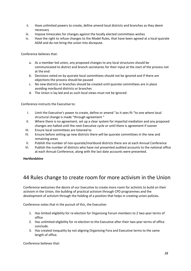- ii. Have unlimited powers to create, define amend local districts and branches as they deem necessary
- iii. Impose timescales for changes against the locally elected committees wishes
- iv. Have the right to refuse changes to the Model Rules, that have been agreed at a local quorate AGM and do not bring the union into disrepute.

Conference believes that:

- a. As a member led union, any proposed changes to any local structures should be communicated to district and branch secretaries for their input at the start of the process not at the end
- b. Decisions voted on by quorate local committees should not be ignored and if there are objections the process should be paused
- c. No new districts or branches should be created until quorate committees are in place avoiding moribund districts or branches
- d. The Union is lay led and as such local views must not be ignored.

Conference instructs the Executive to:

- I. Limit the Executive's power to create, define or amend "as it sees fit "to one where local structural change is made "through agreement "
- II. Where there is no agreement, set up a clear system for impartial mediation and any proposed changes are halted until the next Executive cycle or until there is agreement if sooner
- III. Ensure local committees are listened to
- IV. Ensure before setting up new districts there will be quorate committees in the new and remaining areas
- V. Publish the number of non-quorate/moribund districts there are at each Annual Conference
- VI. Publish the number of districts who have not presented audited accounts to the national office at each Annual Conference, along with the last date accounts were presented.

### **Hertfordshire**

## 44 Rules change to create room for more activism in the Union

Conference welcomes the desire of our Executive to create more room for activists to build on their activism in the Union, the building of practical activism through CPD programmes and the development of activism through the holding of a position that helps in creating union policies.

Conference notes that in the pursuit of this, the Executive:

- 1. Has limited eligibility for re-election for Organising Forum members to 2 two-year terms of office
- 2. Has unlimited eligibility for re-election to the Executive after their two-year terms of office conclude.
- 3. Has created inequality by not aligning Organising Fora and Executive terms to the same length of office.

Conference believes that: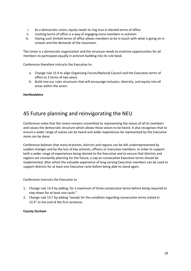- i. As a democratic union, equity needs to ring true in elected terms of office
- ii. Limiting terms of office is a way of engaging more members in activism
- iii. Having such limited terms of office allows members to be in touch with what is going on in schools and the demands of the classroom.

The Union is a democratic organisation and the structure needs to enshrine opportunities for all members to participate equally in activism building into its rule book.

Conference therefore instructs the Executive to:

- a. Change rule 13.4 to align Organising Forum/National Council and the Executive terms of office to 2 terms of two years.
- b. Build into our rules structures that will encourage inclusion, diversity, and equity into all areas within the union.

**Hertfordshire** 

## 45 Future planning and reinvigorating the NEU

Conference notes that the Union remains committed to representing the voices of all its members and values the democratic structure which allows those voices to be heard. It also recognises that to ensure a wider range of voices can be heard and wider experiences be represented by the Executive more can be done.

Conference believes that many branches, districts and regions can be left underrepresented by sudden changes and by the loss of key activists, officers or Executive members. In order to support both a wider range of experiences being elected to the Executive and to ensure that districts and regions are constantly planning for the future, a cap on consecutive Executive terms should be implemented, after which the valuable experience of long serving Executive members can be used to support districts for at least one Executive cycle before being able to stand again.

Conference instructs the Executive to

- 1. Change rule 13.4 by adding, for a maximum of three consecutive terms before being required to step down for at least one cycle."
- 2. Change rule 13.7 by adding "except for the condition regarding consecutive terms stated in 13.4" to the end of the first sentence.

### **County Durham**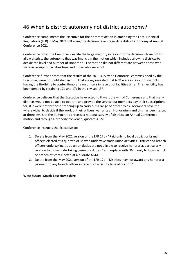## 46 When is district autonomy not district autonomy?

Conference compliments the Executive for their prompt action in amending the Local Financial Regulations (LFR) in May 2021 following the decision taken regarding district autonomy at Annual Conference 2021

Conference notes the Executive, despite the large majority in favour of the decision, chose not to allow districts the autonomy that was implicit in the motion which included allowing districts to decide the level and number of Honoraria. The motion did not differentiate between those who were in receipt of facilities time and those who were not.

Conference further notes that the results of the 2019 survey on Honoraria, commissioned by the Executive, were not published in full. That survey revealed that 67% were in favour of districts having the flexibility to confer Honoraria on officers in receipt of facilities time. This flexibility has been denied by retaining 17b and 17c in the revised LFR.

Conference believes that the Executive have acted to thwart the will of Conference and that many districts would not be able to operate and provide the service our members pay their subscriptions for, if it were not for those stepping up to carry out a range of officer roles. Members have the wherewithal to decide if the work of their officers warrants an Honorarium and this has been tested at three levels of the democratic process; a national survey of districts, an Annual Conference motion and through a properly convened, quorate AGM.

Conference instructs the Executive to:

- 1. Delete from the May 2021 version of the LFR 17b "Paid only to local district or branch officers elected at a quorate AGM who undertake trade union activities. District and branch officers undertaking trade union duties are not eligible to receive honoraria, particularly in relation to those undertaking casework duties." and replace with "Paid only to local district or branch officers elected at a quorate AGM."
- 2. Delete from the May 2021 version of the LFR 17c "Districts may not award any honoraria payment to any branch officer in receipt of a facility time allocation."

### **West Sussex; South-East Hampshire**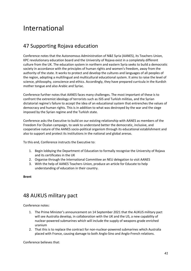## International

## 47 Supporting Rojava education

Conference notes that the Autonomous Administration of N&E Syria (AANES), its Teachers Union, KPC revolutionary education board and the University of Rojava exist in a completely different culture from the UK. The education system in northern and eastern Syria seeks to build a democratic society in accordance with the principles of human rights and women's freedom, away from the authority of the state. It works to protect and develop the cultures and languages of all peoples of the region, adopting a multilingual and multicultural educational system. It aims to raise the level of science, philosophy, conscience and ethics. Accordingly, they have prepared curricula in the Kurdish mother tongue and also Arabic and Syriac.

Conference further notes that AANES faces many challenges. The most important of these is to confront the extremist ideology of terrorists such as ISIS and Turkish militias, and the Syrian dictatorial regime's failure to accept the idea of an educational system that entrenches the values of democracy and human rights. This is in addition to what was destroyed by the war and the siege imposed by the Syrian regime and the Turkish state.

Conference asks the Executive to build on our existing relationship with AANES as members of the Freedom For Öcalan campaign, to seek to understand better the democratic, inclusive, and cooperative nature of the AANES socio-political organism through its educational establishment and also to support and protect its institutions in the national and global arenas.

To this end, Conference instructs the Executive to:

- 1. Begin lobbying the Department of Education to formally recognise the University of Rojava and its certificates in the UK
- 2. Organise through the International Committee an NEU delegation to visit AANES
- 3. With the help of AANES Teachers Union, produce an article for Educate to help understanding of education in their country.

**Brent**

## 48 AUKUS military pact

Conference notes:

- 1. The Prime Minister's announcement on 14 September 2021 that the AUKUS military pact will see Australia develop, in collaboration with the UK and the US, a new capability of nuclear-powered submarines which will include the supply of weapons grade enriched uranium
- 2. That this is to replace the contract for non-nuclear-powered submarines which Australia placed with France, causing damage to both Anglo-Sino and Anglo-French relations.

Conference believes that: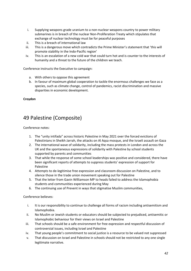- i. Supplying weapons grade uranium to a non-nuclear weapons country to power military submarines is in breach of the nuclear Non-Proliferation Treaty which stipulates that exchange of nuclear technology must be for peaceful purposes
- ii. This is a breach of international law
- iii. This is a dangerous move which contradicts the Prime Minister's statement that 'this will promote stability in the Indo-Pacific region'
- iv. This is an escalation of a new cold war that could turn hot and is counter to the interests of humanity and a threat to the future of the children we teach.

Conference instructs the Executive to campaign:

- a. With others to oppose this agreement
- b. In favour of maximum global cooperation to tackle the enormous challenges we face as a species, such as climate change, control of pandemics, racist discrimination and massive disparities in economic development.

**Croydon**

## 49 Palestine (Composite)

Conference notes:

- 1. The "unity intifada" across historic Palestine in May 2021 over the forced evictions of Palestinians in Sheikh Jarrah, the attacks on Al Aqsa mosque, and the Israeli assault on Gaza
- 2. The international wave of solidarity, including the mass protests in London and across the UK and the spontaneous expressions of solidarity with Palestine by school students supported by parents and communities
- 3. That while the response of some school leaderships was positive and considered, there have been significant reports of attempts to suppress students' expression of support for Palestine
- 4. Attempts to de-legitimise free expression and classroom discussion on Palestine, and to silence those in the trade union movement speaking out for Palestine
- 5. That the letter from Gavin Williamson MP to heads failed to address the Islamophobia students and communities experienced during May
- 6. The continuing use of Prevent in ways that stigmatise Muslim communities,

Conference believes:

- i. It is our responsibility to continue to challenge all forms of racism including antisemitism and Islamophobia.
- ii. No Muslim or Jewish students or educators should be subjected to prejudiced, antisemitic or Islamophobic behaviour for their views on Israel and Palestine
- iii. That schools should be a safe environment for free expression and respectful discussion of controversial issues, including Israel and Palestine
- iv. That young people's commitment to social justice is a resource to be valued not suppressed
- v. That discussion on Israel and Palestine in schools should not be restricted to any one single legitimate narrative.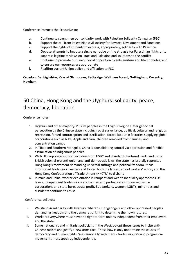Conference instructs the Executive to:

- a. Continue to strengthen our solidarity work with Palestine Solidarity Campaign (PSC)
- b. Support the call from Palestinian civil society for Boycott, Divestment and Sanctions
- c. Support the rights of students to express, appropriately, solidarity with Palestine
- d. Oppose attempts to impose a single narrative on the struggle for Palestinian rights or to suppress legitimate views on Israel and Palestine and solutions to the conflict
- e. Continue to promote our unequivocal opposition to antisemitism and Islamophobia, and to ensure our resources are appropriate
- f. Reaffirm current Union policy and affiliation to PSC.

**Croydon; Denbighshire; Vale of Glamorgan; Redbridge; Waltham Forest; Nottingham; Coventry; Newham**

## 50 China, Hong Kong and the Uyghurs: solidarity, peace, democracy, liberation

Conference notes:

- 1. Uyghurs and other majority-Muslim peoples in the Uyghur Region suffer genocidal persecution by the Chinese state including racist surveillance, political, cultural and religious repression, forced contraception and sterilisation, forced labour in factories supplying global corporations such as Nike, Apple and Zara, children removed from families, and concentration camps
- 2. In Tibet and Southern Mongolia, China is consolidating control via oppression and forcible assimilation of indigenous peoples
- 3. With UK corporate support including from HSBC and Standard Chartered Bank, and using British colonial-era anti-union and anti-democratic laws, the state has brutally repressed Hong Kong's movement demanding universal suffrage and political freedom. It has imprisoned trade union leaders and forced both the largest school workers' union, and the Hong Kong Confederation of Trade Unions (HKCTU) to disband
- 4. In mainland China, worker exploitation is rampant and wealth inequality approaches US levels. Independent trade unions are banned and protests are suppressed, while corporations and state bureaucrats profit. But workers, women, LGBT+, minorities and dissidents continue to resist.

Conference believes:

- i. We stand in solidarity with Uyghurs, Tibetans, Hongkongers and other oppressed peoples demanding freedom and the democratic right to determine their own futures.
- ii. Workers everywhere must have the right to form unions independent from their employers and the state.
- iii. Some nationalist and militarist politicians in the West, co-opt these issues to incite anti-Chinese racism and justify a new arms race. These hawks only undermine the causes of democracy and human rights. We cannot ally with them - trade unionists and progressive movements must speak up independently.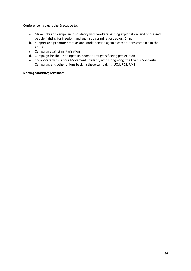Conference instructs the Executive to:

- a. Make links and campaign in solidarity with workers battling exploitation, and oppressed people fighting for freedom and against discrimination, across China
- b. Support and promote protests and worker action against corporations complicit in the abuses
- c. Campaign against militarisation
- d. Campaign for the UK to open its doors to refugees fleeing persecution
- e. Collaborate with Labour Movement Solidarity with Hong Kong, the Uyghur Solidarity Campaign, and other unions backing these campaigns (UCU, PCS, RMT).

### **Nottinghamshire; Lewisham**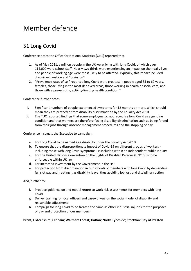## Member defence

## 51 Long Covid I

Conference notes the Office for National Statistics (ONS) reported that:

- 1. As of May 2021, a million people in the UK were living with long Covid, of which over 114,000 were school staff. Nearly two thirds were experiencing an impact on their daily lives and people of working age were most likely to be affected. Typically, this impact included chronic exhaustion and "brain fog"
- 2. "Prevalence rates of self-reported long Covid were greatest in people aged 35 to 69 years, females, those living in the most deprived areas, those working in health or social care, and those with a pre-existing, activity-limiting health condition."

Conference further notes:

- i. Significant numbers of people experienced symptoms for 12 months or more, which should mean they are protected from disability discrimination by the Equality Act 2010.
- ii. The TUC reported findings that some employers do not recognise long Covid as a genuine condition and that workers are therefore facing disability discrimination such as being forced from their jobs through absence management procedures and the stopping of pay.

Conference instructs the Executive to campaign:

- a. For Long Covid to be named as a disability under the Equality Act 2010
- b. To ensure that the disproportionate impact of Covid-19 on different groups of workers including those with long Covid symptoms - is included within an independent public inquiry
- c. For the United Nations Convention on the Rights of Disabled Persons (UNCRPD) to be enforceable within UK law.
- d. For increased investment by the Government in the HSE
- e. For protection from discrimination in our schools of members with long Covid by demanding full sick pay and treating it as disability leave, thus avoiding job loss and disciplinary action

And, further to:

- f. Produce guidance on and model return to work risk assessments for members with long Covid
- g. Deliver training for local officers and caseworkers on the social model of disability and reasonable adjustments
- h. Campaign for long Covid to be treated the same as other industrial injuries for the purposes of pay and protection of our members.

### **Brent; Oxfordshire; Oldham; Waltham Forest; Halton; North Tyneside; Stockton; City of Preston**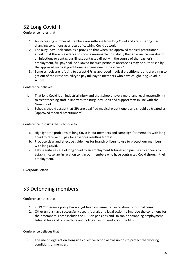## 52 Long Covid II

Conference notes that:

- 1. An increasing number of members are suffering from long Covid and are suffering lifechanging conditions as a result of catching Covid at work
- 2. The Burgundy Book contains a provision that when "an approved medical practitioner attests that there is evidence to show a reasonable probability that an absence was due to an infectious or contagious illness contacted directly in the course of the teacher's employment, full pay shall be allowed for such period of absence as may be authorised by the approved medical practitioner as being due to the illness."
- 3. Some schools are refusing to accept GPs as approved medical practitioners and are trying to get out of their responsibility to pay full pay to members who have caught long Covid in school.

Conference believes:

- i. That long Covid is an industrial injury and that schools have a moral and legal responsibility to treat teaching staff in line with the Burgundy Book and support staff in line with the Green Book
- ii. Schools should accept that GPs are qualified medical practitioners and should be treated as "approved medical practitioners".

Conference instructs the Executive to

- a. Highlight the problems of long Covid in our members and campaign for members with long Covid to receive full pay for absences resulting from it.
- b. Produce clear and effective guidelines for branch officers to use to protect our members with long Covid.
- c. Take a suitable case of long Covid to an employment tribunal and pursue any appeals to establish case law in relation to it in our members who have contracted Covid through their employment.

**Liverpool; Sefton**

## 53 Defending members

Conference notes that:

- 1. 2019 Conference policy has not yet been implemented in relation to tribunal cases
- 2. Other unions have successfully used tribunals and legal action to improve the conditions for their members. These include the FBU on pensions and Unison on scrapping employment tribunal fees and on overtime and holiday pay for workers in the NHS.

### Conference believes that

i. The use of legal action alongside collective action allows unions to protect the working conditions of members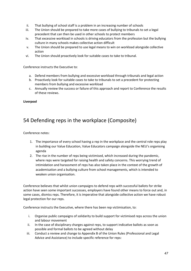- ii. That bullying of school staff is a problem in an increasing number of schools
- iii. The Union should be prepared to take more cases of bullying to tribunals to set a legal precedent that can then be used in other schools to protect members
- iv. That excessive workload in schools is driving educators from the profession but the bullying culture in many schools makes collective action difficult
- v. The Union should be prepared to use legal means to win on workload alongside collective action
- vi. The Union should proactively look for suitable cases to take to tribunal.

Conference instructs the Executive to:

- a. Defend members from bullying and excessive workload through tribunals and legal action
- b. Proactively look for suitable cases to take to tribunals to set a precedent for protecting members from bullying and excessive workload
- c. Annually review the success or failure of this approach and report to Conference the results of these reviews.

**Liverpool** 

## 54 Defending reps in the workplace (Composite)

Conference notes:

- 1. The importance of every school having a rep in the workplace and the central role reps play in building our Value Education, Value Educators campaign alongside the NEU's organising agenda
- 2. The rise in the number of reps being victimised, which increased during the pandemic, where reps were targeted for raising health and safety concerns. This worrying trend of intimidation and harassment of reps has also taken place in the context of the growth of academisation and a bullying culture from school managements, which is intended to weaken union organisation.

Conference believes that whilst union campaigns to defend reps with successful ballots for strike action have seen some important successes, employers have found other means to force out and, in some cases, dismiss reps. Therefore, it is imperative that alongside collective action we have robust legal protection for our reps.

Conference instructs the Executive, where there has been rep victimisation, to:

- i. Organise public campaigns of solidarity to build support for victimised reps across the union and labour movement
- ii. In the case of disciplinary charges against reps, to support indicative ballots as soon as possible and formal ballots to be agreed without delay
- iii. Conduct a review and change to Appendix B of the Union Rules (Professional and Legal Advice and Assistance) to include specific reference for reps: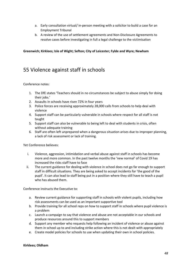- a. Early consultation virtual/ in-person meeting with a solicitor to build a case for an Employment Tribunal
- b. A review of the use of settlement agreements and Non-Disclosure Agreements to resolve cases before investigating in full a legal challenge to the victimisation

### **Greenwich; Kirklees; Isle of Wight; Sefton; City of Leicester; Fylde and Wyre; Newham**

## 55 Violence against staff in schools

### Conference notes:

- 1. The DfE states 'Teachers should in no circumstances be subject to abuse simply for doing their jobs.'
- 2. Assaults in schools have risen 72% in four years
- 3. Police forces are receiving approximately 28,000 calls from schools to help deal with violence
- 4. Support staff can be particularly vulnerable in schools where respect for all staff is not taught
- 5. Support staff can also be vulnerable to being left to deal with students in crisis, often without adequate training
- 6. Staff are often left unprepared when a dangerous situation arises due to improper planning, a lack of risk assessment or lack of training.

Yet Conference believes:

- i. Violence, aggression, intimidation and verbal abuse against staff in schools has become more and more common. In the past twelve months the 'new normal' of Covid 19 has increased the risks staff have to face
- ii. The current guidance for dealing with violence in school does not go far enough to support staff in difficult situations. They are being asked to accept incidents for 'the good of the pupil'. It can also lead to staff being put in a position where they still have to teach a pupil who has abused them.

Conference instructs the Executive to:

- a. Review current guidance for supporting staff in schools with violent pupils, including how risk assessments can be used as an important supportive tool
- b. Provide training for all school reps on how to support staff in schools where pupil violence is a problem
- c. Launch a campaign to say that violence and abuse are not acceptable in our schools and produce resources around this to support members
- d. Support any member who requests help following an incident of violence or abuse against them in school up to and including strike action where this is not dealt with appropriately
- e. Create model policies for schools to use when updating their own in school policies.

### **Kirklees; Oldham**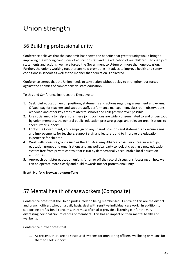## Union strength

## 56 Building professional unity

Conference believes that the pandemic has shown the benefits that greater unity would bring to improving the working conditions of education staff and the education of our children. Through joint statements and actions, we have forced the Government to U-turn on more than one occasion. Further, the unions working together are now promoting initiatives to improve health and safety conditions in schools as well as the manner that education is delivered.

Conference agrees that the Union needs to take action without delay to strengthen our forces against the enemies of comprehensive state education.

To this end Conference instructs the Executive to:

- 1. Seek joint education union positions, statements and actions regarding assessment and exams, Ofsted, pay for teachers and support staff, performance management, classroom observations, workload and other key areas related to schools and colleges wherever possible
- 2. Use social media to help ensure these joint positions are widely disseminated to and understood by union members, the general public, education pressure groups and relevant organisations to seek further support
- 3. Lobby the Government, and campaign on any shared positions and statements to secure gains and improvements for teachers, support staff and lecturers and to improve the education experience for children
- 4. Work with pressure groups such as the Anti Academy Alliance, cross union pressure groups, education groups and organisations and any political party to look at creating a new education system free from private control that is run by democratically accountable local education authorities
- 5. Approach our sister education unions for on or off the record discussions focussing on how we can co-operate more closely and build towards further professional unity.

### **Brent; Norfolk; Newcastle-upon-Tyne**

## 57 Mental health of caseworkers (Composite)

Conference notes that the Union prides itself on being member-led. Central to this are the district and branch officers who, on a daily basis, deal with sensitive individual casework. In addition to supporting professional concerns, they must often also provide a listening ear for the very distressing personal circumstances of members. This has an impact on their mental health and wellbeing.

Conference further notes that:

1. At present, there are no structured systems for monitoring officers' wellbeing or means for them to seek support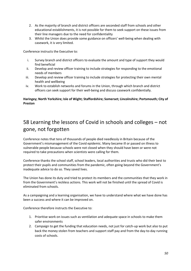- 2. As the majority of branch and district officers are seconded staff from schools and other educational establishments, it is not possible for them to seek support on these issues from their line managers due to the need for confidentiality
- 3. Whilst the Union does provide some guidance on officers' well-being when dealing with casework, it is very limited.

Conference instructs the Executive to:

- i. Survey branch and district officers to evaluate the amount and type of support they would find beneficial
- ii. Develop and review officer training to include strategies for responding to the emotional needs of members
- iii. Develop and review officer training to include strategies for protecting their own mental health and wellbeing
- iv. Work to establish networks and forums in the Union, through which branch and district officers can seek support for their well-being and discuss casework confidentially.

### **Haringey; North Yorkshire; Isle of Wight; Staffordshire; Somerset; Lincolnshire; Portsmouth; City of Preston**

## 58 Learning the lessons of Covid in schools and colleges – not gone, not forgotten

Conference notes that tens of thousands of people died needlessly in Britain because of the Government's mismanagement of the Covid epidemic. Many became ill or passed on illness to vulnerable people because schools were not closed when they should have been or were not required to take precautions when scientists were calling for them.

Conference thanks the school staff, school leaders, local authorities and trusts who did their best to protect their pupils and communities from the pandemic, often going beyond the Government's inadequate advice to do so. They saved lives.

The Union has done its duty and tried to protect its members and the communities that they work in from the Government's reckless actions. This work will not be finished until the spread of Covid is eliminated from schools.

As a campaigning and a learning organisation, we have to understand where what we have done has been a success and where it can be improved on.

Conference therefore instructs the Executive to:

- 1. Prioritise work on issues such as ventilation and adequate space in schools to make them safer environments
- 2. Campaign to get the funding that education needs, not just for catch-up work but also to put back the money stolen from teachers and support staff pay and from the day-to-day running costs of schools.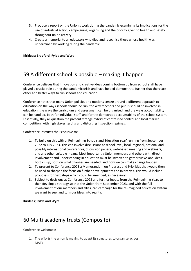- 3. Produce a report on the Union's work during the pandemic examining its implications for the use of industrial action, campaigning, organising and the priority given to health and safety throughout union activity
- 4. Create a memorial to all educators who died and recognise those whose health was undermined by working during the pandemic.

**Kirklees; Bradford; Fylde and Wyre**

## 59 A different school is possible – making it happen

Conference believes that innovation and creative ideas coming bottom up from school staff have played a crucial role during the pandemic crisis and have helped demonstrate further that there are other and better ways to run schools and education.

Conference notes that many Union policies and motions centre around a different approach to education on the ways schools should be run, the way teachers and pupils should be involved in education, the ways the curriculum and assessment can be organised, and the ways accountability can be handled, both for individual staff, and for the democratic accountability of the school system. Essentially, they all question the present strange hybrid of centralised control and local market competition, with high stakes testing and distorting inspection regimes.

Conference instructs the Executive to:

- 1. To build on this with a 'Reimagining Schools and Education Year' running from September 2022 to July 2023. This can involve discussions at school level, local, regional, national and possibly international conferences, discussion papers, web-based meeting and webinars, and any other suitable means. Most importantly Union members and others with direct involvement and understanding in education must be involved to gather views and ideas, bottom up, both on what changes are needed, and how we can make change happen
- 2. To present to Conference 2023 a Memorandum on Progress and Priorities that would then be used to sharpen the focus on further developments and initiatives. This would include proposals for next steps which could be amended, as necessary
- 3. Subject to decisions at Conference 2023 and further inputs from the Reimagining Year, to then develop a strategy so that the Union from September 2023, and with the full involvement of our members and allies, can campaign for the re-imagined education system we want to see, and turn our ideas into reality.

**Kirklees; Fylde and Wyre**

## 60 Multi academy trusts (Composite)

Conference welcomes:

1. The efforts the union is making to adapt its structures to organise across MATs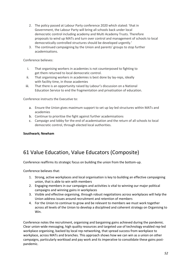- 2. The policy passed at Labour Party conference 2020 which stated: 'that in Government, the Labour Party will bring all schools back under local democratic control including academy and Multi Academy Trusts. Therefore proposals to wind up MATs and turn over control and management of schools to local democratically controlled structures should be developed urgently.'
- 3. The continued campaigning by the Union and parents' groups to stop further academisations.

Conference believes:

- i. That organising workers in academies is not counterposed to fighting to get them returned to local democratic control.
- ii. That organising workers in academies is best done by lay-reps, ideally with facility time, in those academies
- iii. That there is an opportunity raised by Labour's discussion on a National Education Service to end the fragmentation and privatisation of education.

Conference instructs the Executive to:

- a. Ensure the Union gives maximum support to set up lay-led structures within MATs and academies
- b. Continue to prioritise the fight against further academisations
- c. Campaign and lobby for the end of academisation and the return of all schools to local democratic control, through elected local authorities.

### **Southwark; Newham**

## 61 Value Education, Value Educators (Composite)

Conference reaffirms its strategic focus on building the union from the bottom-up.

Conference believes that:

- 1. Strong, active workplaces and local organisation is key to building an effective campaigning union, that is able to win with members
- 2. Engaging members in our campaigns and activities is vital to winning our major political campaigns and winning gains in workplaces
- 3. Visible and effective organising, through robust negotiations across workplaces will help the Union address issues around recruitment and retention of members
- 4. For the Union to continue to grow and be relevant to members we must work together across all levels of the Union to develop a disciplined and coherent strategy on Organising to Win.

Conference notes the recruitment, organising and bargaining gains achieved during the pandemic. Clear union-wide messaging, high quality resources and targeted use of technology enabled rep-led workplace organising, backed by local rep networking, that spread success from workplace to workplace, across MATs and branches. This approach shows how we can win as a union on other campaigns, particularly workload and pay work and its imperative to consolidate these gains postpandemic.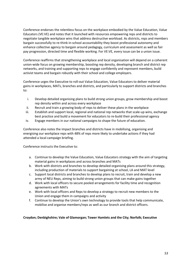Conference endorses the relentless focus on the workplace embodied by the Value Education, Value Educators (VE:VE) and notes that it launched with resources empowering reps and districts to negotiate tangible workplace wins that address destructive workload. As districts, reps and members bargain successfully to re-think in-school accountability they boost professional autonomy and enhance collective agency to bargain around pedagogy, curriculum and assessment as well as fair pay progression, directed time and flexible working. For VE:VE, every issue can be a union issue.

Conference reaffirms that strengthening workplace and local organisation will depend on a coherent union-wide focus on growing membership, boosting rep density, developing branch and district rep networks, and training and supporting reps to engage confidently and represent members, build activist teams and bargain robustly with their school and college employers.

Conference urges the Executive to roll-out Value Education, Value Educators to deliver material gains in workplaces, MATs, branches and districts, and particularly to support districts and branches to:

- i. Develop detailed organising plans to build strong union groups, grow membership and boost rep density within and across every workplace
- ii. Recruit and train a growing body of reps to deliver these plans in the workplace
- iii. Establish and support local, regional and national rep networks that scale-up wins, exchange best practice and build a movement for educators to re-build their professional agency
- iv. Engage members in our national campaigns to shape the future of education.

Conference also notes the impact branches and districts have in mobilising, organising and energising our workplace reps with 48% of reps more likely to undertake actions if they had attended a local campaign briefing.

Conference instructs the Executive to:

- a. Continue to develop the Value Education, Value Educators strategy with the aim of targeting material gains in workplaces and across branches and MATs
- b. Work with districts and branches to develop detailed organising plans around this strategy, including production of materials to support bargaining at school, LA and MAT level
- c. Support local districts and branches to develop plans to recruit, train and develop a new army of NEU Reps, aiming to build strong union groups that can make gains together
- d. Work with local officers to secure pooled arrangements for facility time and recognition agreements with MATs
- e. Work with local officers and Reps to develop a strategy to recruit new members to the Union and engage them in campaigns and activity
- f. Continue to develop the Union's own technology to provide tools that help communicate, mobilise and organise members/reps as well as our branch and district officers.

### **Croydon; Denbighshire; Vale of Glamorgan; Tower Hamlets and the City; Norfolk; Executive**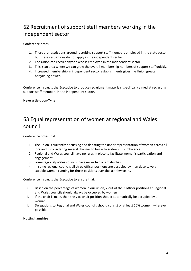## 62 Recruitment of support staff members working in the independent sector

Conference notes:

- 1. There are restrictions around recruiting support staff members employed in the state sector but these restrictions do not apply in the independent sector
- 2. The Union can recruit anyone who is employed in the independent sector
- 3. This is an area where we can grow the overall membership numbers of support staff quickly.
- 4. Increased membership in independent sector establishments gives the Union greater bargaining power.

Conference instructs the Executive to produce recruitment materials specifically aimed at recruiting support staff members in the independent sector.

### **Newcastle-upon-Tyne**

## 63 Equal representation of women at regional and Wales council

Conference notes that:

- 1. The union is currently discussing and debating the under representation of women across all fora and is considering several changes to begin to address this imbalance
- 2. Regional and Wales council have no rules in place to facilitate women's participation and engagement
- 3. Some regional/Wales councils have never had a female chair
- 4. In some regional councils all three officer positions are occupied by men despite very capable women running for those positions over the last few years.

Conference instructs the Executive to ensure that:

- i. Based on the percentage of women in our union, 2 out of the 3 officer positions at Regional and Wales councils should always be occupied by women
- ii. If the chair is male, then the vice chair position should automatically be occupied by a woman
- iii. Delegations to Regional and Wales councils should consist of at least 50% women, wherever possible.

### **Nottinghamshire**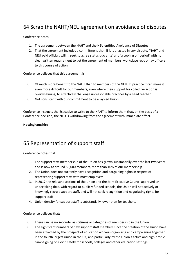## 64 Scrap the NAHT/NEU agreement on avoidance of disputes

Conference notes:

- 1. The agreement between the NAHT and the NEU entitled Avoidance of Disputes
- 2. That the agreement includes a commitment that, if it is enacted in any dispute, 'NAHT and NEU paid officials will.... seek to agree status quo ante' and 'a cooling off period' with no clear written requirement to get the agreement of members, workplace reps or lay officers to this course of action.

Conference believes that this agreement is:

- i. Of much more benefit to the NAHT than to members of the NEU. In practice it can make it even more difficult for our members, even where their support for collective action is overwhelming, to effectively challenge unreasonable practices by a head teacher
- ii. Not consistent with our commitment to be a lay-led Union.

Conference instructs the Executive to write to the NAHT to inform them that, on the basis of a Conference decision, the NEU is withdrawing from the agreement with immediate effect.

### **Nottinghamshire**

## 65 Representation of support staff

Conference notes that:

- 1. The support staff membership of the Union has grown substantially over the last two years and is now at around 50,000 members, more than 10% of our membership
- 2. The Union does not currently have recognition and bargaining rights in respect of representing support staff with most employers
- 3. In 2017 the relevant sections of the Union and the Joint Executive Council approved an undertaking that, with regard to publicly funded schools, the Union will not actively or knowingly recruit support staff, and will not seek recognition and negotiating rights for support staff
- 4. Union density for support staff is substantially lower than for teachers.

Conference believes that:

- i. There can be no second-class citizens or categories of membership in the Union
- ii. The significant numbers of new support staff members since the creation of the Union have been attracted by the prospect of education workers organising and campaigning together in the fourth largest union in the UK, and particularly by the Union's active and high-profile campaigning on Covid safety for schools, colleges and other education settings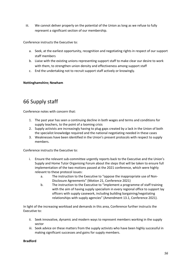iii. We cannot deliver properly on the potential of the Union as long as we refuse to fully represent a significant section of our membership.

Conference instructs the Executive to:

- a. Seek, at the earliest opportunity, recognition and negotiating rights in respect of our support staff members
- b. Liaise with the existing unions representing support staff to make clear our desire to work with them, to strengthen union density and effectiveness among support staff
- c. End the undertaking not to recruit support staff actively or knowingly.

### **Nottinghamshire; Newham**

## 66 Supply staff

Conference notes with concern that:

- 1. The past year has seen a continuing decline in both wages and terms and conditions for supply teachers, to the point of a looming crisis
- 2. Supply activists are increasingly having to plug gaps created by a lack in the Union of both the specialist knowledge required and the national negotiating needed in these cases
- 3. Weaknesses have been identified in the Union's present protocols with respect to supply members.

Conference instructs the Executive to:

- i. Ensure the relevant sub-committee urgently reports back to the Executive and the Union's Supply and Home Tutor Organising Forum about the steps that will be taken to ensure full implementation of the two motions passed at the 2021 conference, which were highly relevant to these protocol issues:
	- a. The instruction to the Executive to "oppose the inappropriate use of Non-Disclosure Agreements" (Motion 21, Conference 2021)
	- b. The instruction to the Executive to "implement a programme of staff training with the aim of having supply specialism in every regional office to support lay officers with supply casework, including building bargaining/negotiating relationships with supply agencies" (Amendment 13.1, Conference 2021).

In light of the increasing workload and demands in this area, Conference further instructs the Executive to:

- ii. Seek innovative, dynamic and modern ways to represent members working in the supply sector
- iii. Seek advice on these matters from the supply activists who have been highly successful in making significant successes and gains for supply members.

### **Bradford**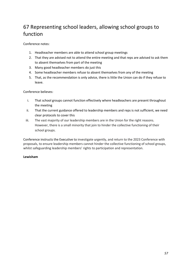## 67 Representing school leaders, allowing school groups to function

Conference notes:

- 1. Headteacher members are able to attend school group meetings
- 2. That they are advised not to attend the entire meeting and that reps are advised to ask them to absent themselves from part of the meeting
- 3. Many good headteacher members do just this
- 4. Some headteacher members refuse to absent themselves from any of the meeting
- 5. That, as the recommendation is only advice, there is little the Union can do if they refuse to leave.

Conference believes:

- i. That school groups cannot function effectively where headteachers are present throughout the meeting
- ii. That the current guidance offered to leadership members and reps is not sufficient, we need clear protocols to cover this
- iii. The vast majority of our leadership members are in the Union for the right reasons. However, there is a small minority that join to hinder the collective functioning of their school groups.

Conference instructs the Executive to investigate urgently, and return to the 2023 Conference with proposals, to ensure leadership members cannot hinder the collective functioning of school groups, whilst safeguarding leadership members' rights to participation and representation.

### **Lewisham**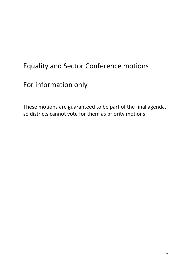## Equality and Sector Conference motions

## For information only

These motions are guaranteed to be part of the final agenda, so districts cannot vote for them as priority motions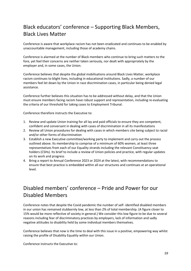## Black educators' conference – Supporting Black Members, Black Lives Matter

Conference is aware that workplace racism has not been eradicated and continues to be enabled by unaccountable management, including those of academy chains.

Conference is alarmed at the number of Black members who continue to bring such matters to the fore, yet feel their concerns are neither taken seriously, nor dealt with appropriately by the employer and, in some cases, the Union.

Conference believes that despite the global mobilisations around Black Lives Matter, workplace racism continues to blight lives, including in educational institutions. Sadly, a number of our members feel let down by the Union in race discrimination cases, in particular being denied legal assistance.

Conference further believes this situation has to be addressed without delay, and that the Union must ensure members facing racism have robust support and representation, including re-evaluating the criteria of our threshold for taking cases to Employment Tribunal.

Conference therefore instructs the Executive to:

- 1. Review and update Union training for all lay and paid officials to ensure they are competent, confident and conversant in dealing with cases of discrimination in all its manifestations
- 2. Review all Union procedures for dealing with cases in which members cite being subject to racial and/or other forms of discrimination
- 3. Establish a new Executive committee/working party to implement and carry out the process outlined above. Its membership to comprise of a minimum of 60% women, at least three representatives from each of our Equality strands including the relevant Constituency seat holders (CSHs). Its brief to include a review of Union policies and practice, with regular updates on its work and progress
- 4. Bring a report to Annual Conference 2023 or 2024 at the latest, with recommendations to ensure that best practice is embedded within all our structures and continues at an operational level.

## Disabled members' conference – Pride and Power for our Disabled Members

Conference notes that despite the Covid pandemic the number of self- identified disabled members in our union has remained stubbornly low, at less than 2% of total membership. (A figure closer to 15% would be more reflective of society in general.) We consider this low figure to be due to several reasons including fear of discriminatory practices by employers, lack of information and sadly negative attitudes to disability held by some individual members themselves.

Conference believes that now is the time to deal with this issue in a positive, empowering way whilst raising the profile of Disability Equality within our Union.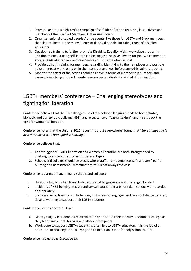- 1. Promote and run a high-profile campaign of self- identification featuring key activists and members of the Disabled Members' Organising Forum
- 2. Organise regional disabled peoples' pride events, like those for LGBT+ and Black members, that clearly illustrate the many talents of disabled people, including those of disabled educators
- 3. Develop rep training to further promote Disability Equality within workplace groups. In addition to encouraging self-identification suggest inclusive adverts for jobs which mention access needs at interview and reasonable adjustments when in post
- 4. Provide upfront training for members regarding identifying to their employer and possible adjustments at work, early on in their contract and well before any crisis point is reached
- 5. Monitor the effect of the actions detailed above in terms of membership numbers and casework involving disabled members or suspected disability related discrimination.

## LGBT+ members' conference – Challenging stereotypes and fighting for liberation

Conference believes that the unchallenged use of stereotyped language leads to homophobic, biphobic and transphobic bullying (HBT), and acceptance of "casual sexism", and it sets back the fight for women's liberation.

Conference notes that the Union's 2017 report, "It's just everywhere" found that "*Sexist language is also interlinked with homophobic bullying".* 

Conference believes that:

- 1. The struggle for LGBT+ liberation and women's liberation are both strengthened by challenging and eradicating harmful stereotypes
- 2. Schools and colleges should be places where staff and students feel safe and are free from bullying and harassment. Unfortunately, this is not always the case.

Conference is alarmed that, in many schools and colleges:

- i. Homophobic, biphobic, transphobic and sexist language are not challenged by staff
- ii. Incidents of HBT bullying, sexism and sexual harassment are not taken seriously or recorded appropriately
- iii. Staff receive no training on challenging HBT or sexist language, and lack confidence to do so, despite wanting to support their LGBT+ students.

Conference is also concerned that:

- a. Many young LGBT+ people are afraid to be open about their identity at school or college as they fear harassment, bullying and attacks from peers
- b. Work done to support LGBT+ students is often left to LGBT+ educators. It is the job of all educators to challenge HBT bullying and to foster an LGBT+ friendly school culture.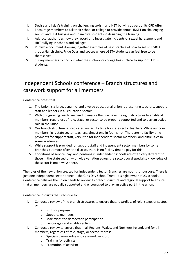- I. Devise a full day's training on challenging sexism and HBT bullying as part of its CPD offer
- II. Encourage members to ask their school or college to provide annual INSET on challenging sexism and HBT bullying and to involve students in designing the training
- III. Ask local authorities how they record and investigate incidents of sexual harassment and HBT bullying in schools and colleges
- IV. Publish a document drawing together examples of best practice of how to set up LGBT+ groups/lunch clubs/Pride Days and spaces where LGBT+ students can feel free to be themselves
- V. Survey members to find out what their school or college has in place to support LGBT+ students.

## Independent Schools conference – Branch structures and casework support for all members

Conference notes that:

- 1. The Union is a large, dynamic, and diverse educational union representing teachers, support staff and leaders in all education sectors
- 2. With our growing reach, we need to ensure that we have the right structures to enable all members, regardless of role, stage, or sector to be properly supported and to play an active role in the union
- 3. Our branch structure is predicated on facility time for state sector teachers. While our core membership is state sector teachers, almost one in four is not. There are no facility time payments for support staff, very little for independent sector members, and difficulties in some academies
- 4. While support is provided for support staff and independent sector members by some branches but more often the district, there is no facility time to pay for this
- 5. Conditions of service, pay, and pensions in independent schools are often very different to those in the state sector, with wide variation across the sector. Local specialist knowledge of the sector is not always there.

The rules of the new union created for Independent Sector Branches are not fit for purpose. There is just one independent sector branch – the Girls Day School Trust – a single owner of 23 schools. Conference believes the union needs to review its branch structure and regional support to ensure that all members are equally supported and encouraged to play an active part in the union.

- i. Conduct a review of the branch structure, to ensure that, regardless of role, stage, or sector, it:
	- a. Is fit for purpose
	- b. Supports members
	- c. Maximises the democratic participation
	- d. Encourages and enables activism
- ii. Conduct a review to ensure that in all Regions, Wales, and Northern Ireland, and for all members, regardless of role, stage, or sector, there is:
	- a. Specialist knowledge and casework support
	- b. Training for activists
	- c. Promotion of activism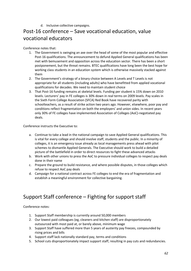d. Inclusive collective campaigns.

## Post-16 conference – Save vocational education, value vocational educators

Conference notes that:

- 1. The Government is swinging an axe over the head of some of the most popular and effective Post-16 qualifications. The announcement to defund Applied General qualifications has been met with bemusement and opposition across the education sector. There has been a short postponement, but the threat remains. BTEC qualifications have long been the best hope for working class students in an education system which is otherwise massively stacked against them
- 2. The Government's strategy of a binary choice between A Levels and T Levels is not appropriate for all students (including adults) who have benefitted from applied vocational qualifications for decades. We need to maintain student choice
- 3. That Post-16 funding remains at skeletal levels. Funding per student is 15% down on 2010 levels. Lecturers' pay in FE colleges is 30% down in real terms on 2009 levels. Pay scales in the Sixth Form College Association (SFCA) Red Book have recovered parity with schoolteachers, as a result of strike action two years ago. However, elsewhere, poor pay and conditions reflect fragmentation on both the employers' and union sides. In recent years only 30% of FE colleges have implemented Association of Colleges (AoC)-negotiated pay deals.

Conference instructs the Executive to:

- a. Continue to take a lead in the national campaign to save Applied General qualifications. This is vital for every college and should involve staff, students and the public. In a minority of colleges, it is an emergency issue already as local managements press ahead with pilot schemes to dismantle Applied Generals. The Executive should work to build a detailed picture of the battlefield in order to direct resources to fight these advanced attacks
- b. Work with other unions to press the AoC to pressure individual colleges to respect pay deals done in their name
- c. Prepare the ground to build resistance, and where possible disputes, in those colleges which refuse to respect AoC pay deals
- d. Campaign for a national contract across FE colleges to end the era of fragmentation and establish a meaningful environment for collective bargaining.

## Support Staff conference – Fighting for support staff

Conference notes:

- 1. Support Staff membership is currently around 50,000 members
- 2. Our lowest paid colleagues (eg, cleaners and kitchen staff) are disproportionately outsourced with most paid at, or barely above, minimum wage
- 3. Support Staff have suffered more than 5 years of austerity pay freezes, compounded by rising prices and bills
- 4. Support staff lack nationally standard pay, terms and conditions
- 5. School cuts disproportionately impact support staff, resulting in pay cuts and redundancies.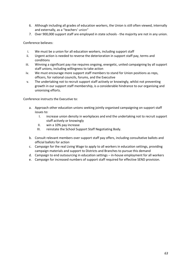- 6. Although including all grades of education workers, the Union is still often viewed, internally and externally, as a "teachers' union"
- 7. Over 900,000 support staff are employed in state schools the majority are not in any union.

Conference believes:

- i. We must be a union for all education workers, including support staff
- ii. Urgent action is needed to reverse the deterioration in support staff pay, terms and conditions
- iii. Winning a significant pay rise requires ongoing, energetic, united campaigning by all support staff unions, including willingness to take action
- iv. We must encourage more support staff members to stand for Union positions as reps, officers, for national councils, forums, and the Executive
- v. The undertaking not to recruit support staff actively or knowingly, whilst not preventing growth in our support staff membership, is a considerable hindrance to our organising and unionising efforts.

- a. Approach other education unions seeking jointly organised campaigning on support staff issues to:
	- I. increase union density in workplaces and end the undertaking not to recruit support staff actively or knowingly
	- II. win a 10% pay increase
	- III. reinstate the School Support Staff Negotiating Body.
- b. Consult relevant members over support staff pay offers, including consultative ballots and official ballots for action
- c. Campaign for the real Living Wage to apply to all workers in education settings, providing campaign materials and support to Districts and Branches to pursue this demand
- d. Campaign to end outsourcing in education settings in-house employment for all workers
- e. Campaign for increased numbers of support staff required for effective SEND provision.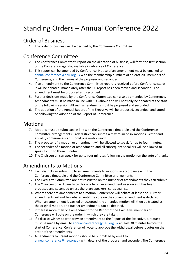## Standing Orders – Annual Conference 2022

## Order of Business

1. The order of business will be decided by the Conference Committee.

## Conference Committee

- 2. The Conference Committee's report on the allocation of business, will form the first section of the Conference agenda, available in advance of Conference.
- 3. This report can be amended by Conference. Notice of an amendment must be emailed to annual.conference@neu.org.uk with the membership numbers of at least 200 members of Conference, and the names of the proposer and seconder.
- 4. If an amendment to the Conference Committee report is received before Conference starts, it will be debated immediately after the CC report has been moved and seconded. The amendment must be proposed and seconded.
- 5. Further decisions made by the Conference Committee can also be amended by Conference. Amendments must be made in line with SO3 above and will normally be debated at the start of the following session. All such amendments must be proposed and seconded.
- 6. The adoption of the Annual Report of the Executive will be proposed, seconded, and voted on following the Adoption of the Report of Conference.

## Motions

- 7. Motions must be submitted in line with the Conference timetable and the Conference Committee arrangements. Each district can submit a maximum of six motions. Sector and equality conferences can submit one motion each.
- 8. The proposer of a motion or amendment will be allowed to speak for up to four minutes.
- 9. The seconder of a motion or amendment, and all subsequent speakers will be allowed to speak for up to three minutes.
- 10. The Chairperson can speak for up to four minutes following the motion on the vote of thanks

## Amendments to Motions

- 11. Each district can submit up to six amendments to motions, in accordance with the Conference timetable and the Conference Committee arrangements.
- 12. The Executive Committee are not restricted on the number of amendments they can submit.
- 13. The Chairperson will usually call for a vote on an amendment as soon as it has been proposed and seconded unless there are speakers' cards against.
- 14. Where there are amendments to a motion, Conference will debate at least one. Further amendments will not be debated until the vote on the current amendment is declared. When an amendment is carried or accepted, the amended motion will then be treated as the original motion, and further amendments can be debated.
- 15. If there is more than one amendment to the Report of the Executive, members of Conference will vote on the order in which they are taken.
- 16. If a district wishes to withdraw an amendment to the Report of the Executive, a request must be made by email to annual.conference@neu.org.uk at least 30 minutes before the start of Conference. Conference will vote to approve the withdrawal before it votes on the order of the amendments.
- 17. Amendments to urgent motions should be submitted by email to annual.conference@neu.org.uk with details of the proposer and seconder. The Conference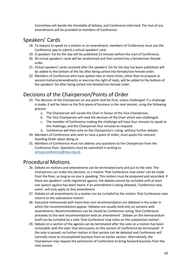Committee will decide the timetable of debate, and Conference informed. The text of any amendments will be provided to members of Conference.

## Speakers' Cards

- 18. To request to speak on a motion or an amendment, members of Conference must use the Conference app to submit a virtual speakers' card.
- 19. A speakers' list for the day will be published 15 minutes before the start of Conference.
- 20. All virtual speakers' cards will be randomised and then sorted into a female/non-female order.
- 21. Virtual speakers' cards received after the speakers' list for the day has been published, will be added to the bottom of the list after being sorted into female/non-female order.
- 22. Members of Conference who have spoken two or more times, other than to propose or second motions/amendments or exercise the right of reply, will be added to the bottom of the speakers' list after being sorted into female/non-female order.

## Decisions of the Chairperson/Points of Order

- 23. The decision of the Chairperson on any point shall be final, unless challenged. If a challenge is made, it will be taken as the first piece of business in the next session, using the following process:
	- a. The Chairperson will vacate the Chair in favour of the Vice-Chairperson.
	- b. The Vice-Chairperson will read the decision of the Chair which was challenged.
	- c. The member of Conference making the challenge will have four minutes to speak to the challenge, and the Chairperson four minutes to respond.
	- d. Conference will then vote on the Chairperson's ruling, without further debate.
- 24. Members of Conference who wish to raise a point of order, must quote the relevant Standing Order when doing so.
- 25. Members of Conference must not address any questions to the Chairperson from the Conference floor. Questions must be submitted in writing to annual.conference@neu.org.uk.

## Procedural Motions

- 26. Debate on motions and amendments can be terminated early and put to the vote. The Chairperson can make this decision, or a motion 'that Conference now votes' can be made from the floor, as long as no one is speaking. This motion must be proposed and seconded. If there are speakers' cards registered against, the debate cannot be curtailed until at least one speech against has been heard. If an amendment is being debated, 'Conference now votes', will only apply to that amendment.
- 27. Debate on all amendments to a motion can be curtailed by the motion 'that Conference now returns to the substantive motion'.
- 28. Executive memoranda with more than one recommendation are debated in the order in which the recommendations appear. Debates are usually held only on sections with amendments. Recommendations can be closed by Conference voting 'that Conference proceeds to the next recommendation with an amendment'. Debate on the memorandum itself can be curtailed by a vote 'that Conference now votes on the substantive motion'.
- 29. Debate on a section of the agenda can be terminated after the vote on a motion has been concluded, with the vote 'that discussions on this section of Conference be terminated'. If the vote is passed, no further motion in that section can be debated and Conference will normally move to uncompleted business from an earlier section. Alternatively, the Chairperson may request the permission of Conference to bring forward business from the next session.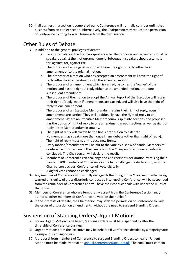30. If all business in a section is completed early, Conference will normally consider unfinished business from an earlier section. Alternatively, the Chairperson may request the permission of Conference to bring forward business from the next session.

## Other Rules of Debate

31. In addition to the general privileges of debate:

- a. To ensure balance, the first two speakers after the proposer and seconder should be speakers against the motion/amendment. Subsequent speakers should alternate for, against, for, against etc.
- b. The proposer of an original motion will have the right of reply either to an amendment or to the original motion.
- c. The proposer of a motion who has accepted an amendment will have the right of reply either to an amendment or to the amended motion.
- d. The proposer of an amendment which is carried, becomes the 'owner' of the motion, and has the right of reply either to the amended motion, or to one subsequent amendment.
- e. The proposer of the motion to adopt the Annual Report of the Executive will retain their right of reply, even if amendments are carried, and will also have the right of reply to one amendment.
- f. The proposer of an Executive Memorandum retains their right of reply, even if amendments are carried. They will additionally have the right of reply to one amendment. Where an Executive Memorandum is split into sections, the proposer has the option of right of reply to one amendment in each section, as well as right of reply to the Memorandum in totality.
- g. The right of reply will always be the final contribution to a debate
- h. No member may speak more than once in any debate (other than right of reply).
- The right of reply must not introduce new items.
- j. Every motion/amendment will be put to the vote by a show of hands. Members of Conference must remain in their seats until the Chairperson announces voting is concluded. The Chairperson will declare the result.
- k. Members of Conference can challenge the Chairperson's declaration by raising their hands. If 200 members of Conference in the hall challenge the declaration, or if the Chairperson decides, Conference will vote digitally.
- l. A digital vote cannot be challenged.
- 32. Any member of Conference who wilfully disregards the ruling of the Chairperson after being warned or is guilty of gross disorderly conduct by interrupting Conference, will be suspended from the remainder of Conference and will have their conduct dealt with under the Rules of the Union.
- 33. Members of Conference who are temporarily absent from the Conference Session, may authorise other members of Conference to vote on their behalf.
- 34. In the interests of debate, the Chairperson may seek the permission of Conference to vary the order of discussion on amendments, without the need to suspend Standing Orders.

## Suspension of Standing Orders/Urgent Motions

- 35. For an Urgent Motion to be heard, Standing Orders must be suspended to alter the timetable of Conference business.
- 36. Urgent Motions from the Executive may be debated if Conference decides by a majority vote to suspend standing orders.
- 37. A proposal from members of Conference to suspend Standing Orders to hear an Urgent Motion must be made by email to annual.conference@neu.org.uk. The email must contain